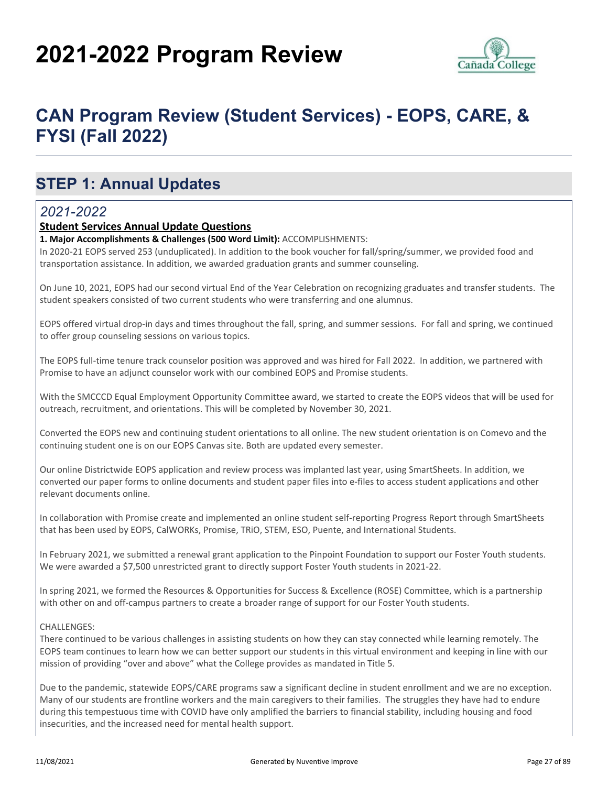# **2021-2022 Program Review**



# **CAN Program Review (Student Services) - EOPS, CARE, & FYSI (Fall 2022)**

## **STEP 1: Annual Updates**

### *2021-2022*

#### **Student Services Annual Update Questions**

#### **1. Major Accomplishments & Challenges (500 Word Limit):** ACCOMPLISHMENTS:

In 2020-21 EOPS served 253 (unduplicated). In addition to the book voucher for fall/spring/summer, we provided food and transportation assistance. In addition, we awarded graduation grants and summer counseling.

On June 10, 2021, EOPS had our second virtual End of the Year Celebration on recognizing graduates and transfer students. The student speakers consisted of two current students who were transferring and one alumnus.

EOPS offered virtual drop-in days and times throughout the fall, spring, and summer sessions. For fall and spring, we continued to offer group counseling sessions on various topics.

The EOPS full-time tenure track counselor position was approved and was hired for Fall 2022. In addition, we partnered with Promise to have an adjunct counselor work with our combined EOPS and Promise students.

With the SMCCCD Equal Employment Opportunity Committee award, we started to create the EOPS videos that will be used for outreach, recruitment, and orientations. This will be completed by November 30, 2021.

Converted the EOPS new and continuing student orientations to all online. The new student orientation is on Comevo and the continuing student one is on our EOPS Canvas site. Both are updated every semester.

Our online Districtwide EOPS application and review process was implanted last year, using SmartSheets. In addition, we converted our paper forms to online documents and student paper files into e-files to access student applications and other relevant documents online.

In collaboration with Promise create and implemented an online student self-reporting Progress Report through SmartSheets that has been used by EOPS, CalWORKs, Promise, TRiO, STEM, ESO, Puente, and International Students.

In February 2021, we submitted a renewal grant application to the Pinpoint Foundation to support our Foster Youth students. We were awarded a \$7,500 unrestricted grant to directly support Foster Youth students in 2021-22.

In spring 2021, we formed the Resources & Opportunities for Success & Excellence (ROSE) Committee, which is a partnership with other on and off-campus partners to create a broader range of support for our Foster Youth students.

#### CHALLENGES:

There continued to be various challenges in assisting students on how they can stay connected while learning remotely. The EOPS team continues to learn how we can better support our students in this virtual environment and keeping in line with our mission of providing "over and above" what the College provides as mandated in Title 5.

Due to the pandemic, statewide EOPS/CARE programs saw a significant decline in student enrollment and we are no exception. Many of our students are frontline workers and the main caregivers to their families. The struggles they have had to endure during this tempestuous time with COVID have only amplified the barriers to financial stability, including housing and food insecurities, and the increased need for mental health support.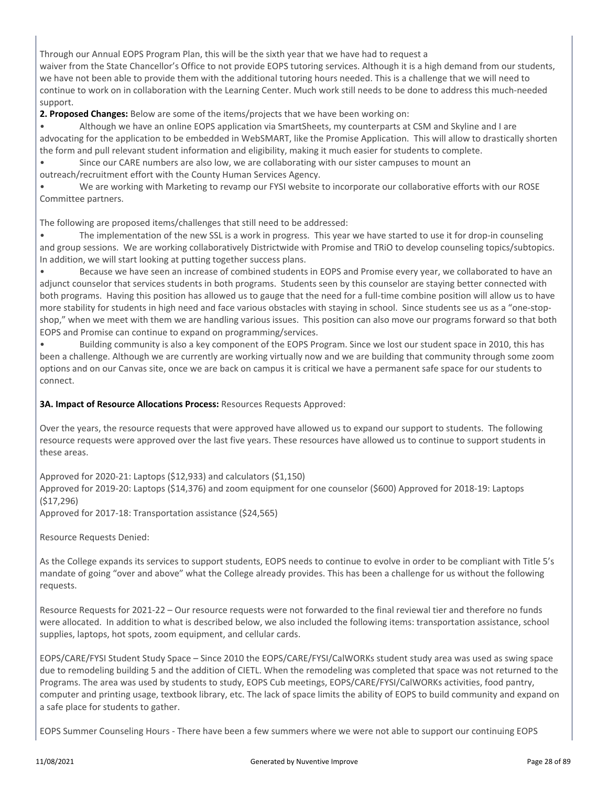Through our Annual EOPS Program Plan, this will be the sixth year that we have had to request a waiver from the State Chancellor's Office to not provide EOPS tutoring services. Although it is a high demand from our students, we have not been able to provide them with the additional tutoring hours needed. This is a challenge that we will need to continue to work on in collaboration with the Learning Center. Much work still needs to be done to address this much-needed support.

**2. Proposed Changes:** Below are some of the items/projects that we have been working on:

• Although we have an online EOPS application via SmartSheets, my counterparts at CSM and Skyline and I are advocating for the application to be embedded in WebSMART, like the Promise Application. This will allow to drastically shorten the form and pull relevant student information and eligibility, making it much easier for students to complete.

• Since our CARE numbers are also low, we are collaborating with our sister campuses to mount an

outreach/recruitment effort with the County Human Services Agency.

• We are working with Marketing to revamp our FYSI website to incorporate our collaborative efforts with our ROSE Committee partners.

The following are proposed items/challenges that still need to be addressed:

• The implementation of the new SSL is a work in progress. This year we have started to use it for drop-in counseling and group sessions. We are working collaboratively Districtwide with Promise and TRiO to develop counseling topics/subtopics. In addition, we will start looking at putting together success plans.

• Because we have seen an increase of combined students in EOPS and Promise every year, we collaborated to have an adjunct counselor that services students in both programs. Students seen by this counselor are staying better connected with both programs. Having this position has allowed us to gauge that the need for a full-time combine position will allow us to have more stability for students in high need and face various obstacles with staying in school. Since students see us as a "one-stopshop," when we meet with them we are handling various issues. This position can also move our programs forward so that both EOPS and Promise can continue to expand on programming/services.

• Building community is also a key component of the EOPS Program. Since we lost our student space in 2010, this has been a challenge. Although we are currently are working virtually now and we are building that community through some zoom options and on our Canvas site, once we are back on campus it is critical we have a permanent safe space for our students to connect.

**3A. Impact of Resource Allocations Process:** Resources Requests Approved:

Over the years, the resource requests that were approved have allowed us to expand our support to students. The following resource requests were approved over the last five years. These resources have allowed us to continue to support students in these areas.

Approved for 2020-21: Laptops (\$12,933) and calculators (\$1,150)

Approved for 2019-20: Laptops (\$14,376) and zoom equipment for one counselor (\$600) Approved for 2018-19: Laptops (\$17,296)

Approved for 2017-18: Transportation assistance (\$24,565)

Resource Requests Denied:

As the College expands its services to support students, EOPS needs to continue to evolve in order to be compliant with Title 5's mandate of going "over and above" what the College already provides. This has been a challenge for us without the following requests.

Resource Requests for 2021-22 – Our resource requests were not forwarded to the final reviewal tier and therefore no funds were allocated. In addition to what is described below, we also included the following items: transportation assistance, school supplies, laptops, hot spots, zoom equipment, and cellular cards.

EOPS/CARE/FYSI Student Study Space – Since 2010 the EOPS/CARE/FYSI/CalWORKs student study area was used as swing space due to remodeling building 5 and the addition of CIETL. When the remodeling was completed that space was not returned to the Programs. The area was used by students to study, EOPS Cub meetings, EOPS/CARE/FYSI/CalWORKs activities, food pantry, computer and printing usage, textbook library, etc. The lack of space limits the ability of EOPS to build community and expand on a safe place for students to gather.

EOPS Summer Counseling Hours - There have been a few summers where we were not able to support our continuing EOPS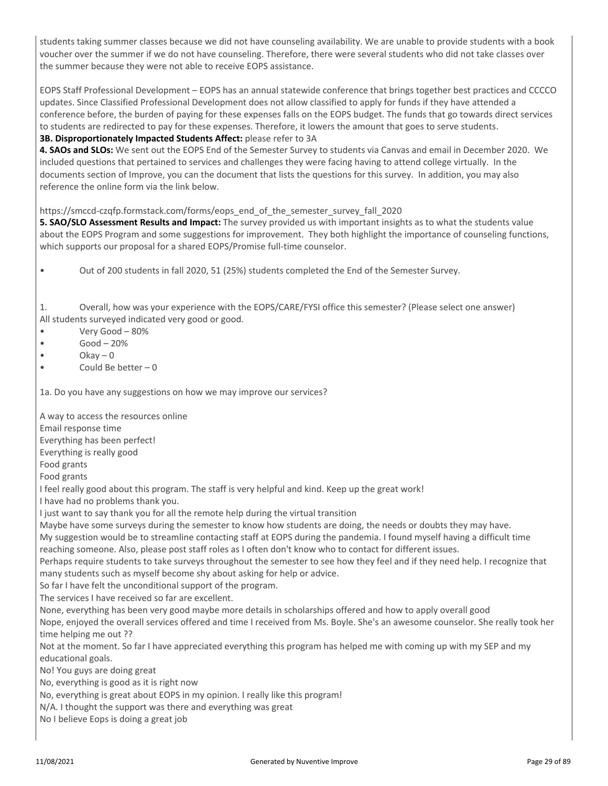students taking summer classes because we did not have counseling availability. We are unable to provide students with a book voucher over the summer if we do not have counseling. Therefore, there were several students who did not take classes over the summer because they were not able to receive EOPS assistance.

EOPS Staff Professional Development – EOPS has an annual statewide conference that brings together best practices and CCCCO updates. Since Classified Professional Development does not allow classified to apply for funds if they have attended a conference before, the burden of paying for these expenses falls on the EOPS budget. The funds that go towards direct services to students are redirected to pay for these expenses. Therefore, it lowers the amount that goes to serve students.

#### **3B. Disproportionately Impacted Students Affect:** please refer to 3A

**4. SAOs and SLOs:** We sent out the EOPS End of the Semester Survey to students via Canvas and email in December 2020. We included questions that pertained to services and challenges they were facing having to attend college virtually. In the documents section of Improve, you can the document that lists the questions for this survey. In addition, you may also reference the online form via the link below.

#### https://smccd-czqfp.formstack.com/forms/eops\_end\_of\_the\_semester\_survey\_fall\_2020

**5. SAO/SLO Assessment Results and Impact:** The survey provided us with important insights as to what the students value about the EOPS Program and some suggestions for improvement. They both highlight the importance of counseling functions, which supports our proposal for a shared EOPS/Promise full-time counselor.

• Out of 200 students in fall 2020, 51 (25%) students completed the End of the Semester Survey.

1. Overall, how was your experience with the EOPS/CARE/FYSI office this semester? (Please select one answer) All students surveyed indicated very good or good.

- Very Good 80%
- $\bullet$  Good 20%
- $\bullet$  Okay 0
- Could Be better 0

1a. Do you have any suggestions on how we may improve our services?

A way to access the resources online

Email response time

Everything has been perfect!

Everything is really good

Food grants

Food grants

I feel really good about this program. The staff is very helpful and kind. Keep up the great work!

I have had no problems thank you.

I just want to say thank you for all the remote help during the virtual transition

Maybe have some surveys during the semester to know how students are doing, the needs or doubts they may have.

My suggestion would be to streamline contacting staff at EOPS during the pandemia. I found myself having a difficult time reaching someone. Also, please post staff roles as I often don't know who to contact for different issues.

Perhaps require students to take surveys throughout the semester to see how they feel and if they need help. I recognize that many students such as myself become shy about asking for help or advice.

So far I have felt the unconditional support of the program.

The services I have received so far are excellent.

None, everything has been very good maybe more details in scholarships offered and how to apply overall good

Nope, enjoyed the overall services offered and time I received from Ms. Boyle. She's an awesome counselor. She really took her time helping me out ??

Not at the moment. So far I have appreciated everything this program has helped me with coming up with my SEP and my educational goals.

No! You guys are doing great

No, everything is good as it is right now

No, everything is great about EOPS in my opinion. I really like this program!

N/A. I thought the support was there and everything was great

No I believe Eops is doing a great job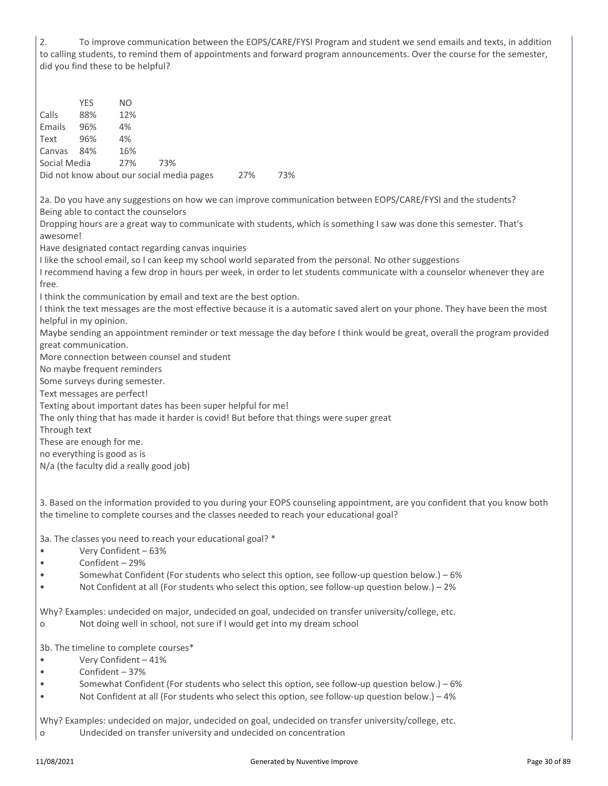2. To improve communication between the EOPS/CARE/FYSI Program and student we send emails and texts, in addition to calling students, to remind them of appointments and forward program announcements. Over the course for the semester, did you find these to be helpful?

YES NO Calls 88% 12% Emails 96% 4% Text 96% 4% Canvas 84% 16% Social Media 27% 73% Did not know about our social media pages 27% 73% 2a. Do you have any suggestions on how we can improve communication between EOPS/CARE/FYSI and the students? Being able to contact the counselors Dropping hours are a great way to communicate with students, which is something I saw was done this semester. That's awesome! Have designated contact regarding canvas inquiries I like the school email, so I can keep my school world separated from the personal. No other suggestions I recommend having a few drop in hours per week, in order to let students communicate with a counselor whenever they are free. I think the communication by email and text are the best option. I think the text messages are the most effective because it is a automatic saved alert on your phone. They have been the most helpful in my opinion. Maybe sending an appointment reminder or text message the day before I think would be great, overall the program provided great communication. More connection between counsel and student No maybe frequent reminders Some surveys during semester. Text messages are perfect! Texting about important dates has been super helpful for me! The only thing that has made it harder is covid! But before that things were super great Through text These are enough for me. no everything is good as is N/a (the faculty did a really good job) 3. Based on the information provided to you during your EOPS counseling appointment, are you confident that you know both the timeline to complete courses and the classes needed to reach your educational goal? 3a. The classes you need to reach your educational goal? \* • Very Confident – 63% • Confident – 29% • Somewhat Confident (For students who select this option, see follow-up question below.) – 6% • Not Confident at all (For students who select this option, see follow-up question below.) – 2% Why? Examples: undecided on major, undecided on goal, undecided on transfer university/college, etc. o Not doing well in school, not sure if I would get into my dream school 3b. The timeline to complete courses\* • Very Confident – 41% • Confident – 37% • Somewhat Confident (For students who select this option, see follow-up question below.) – 6% • Not Confident at all (For students who select this option, see follow-up question below.) – 4%

Why? Examples: undecided on major, undecided on goal, undecided on transfer university/college, etc. o Undecided on transfer university and undecided on concentration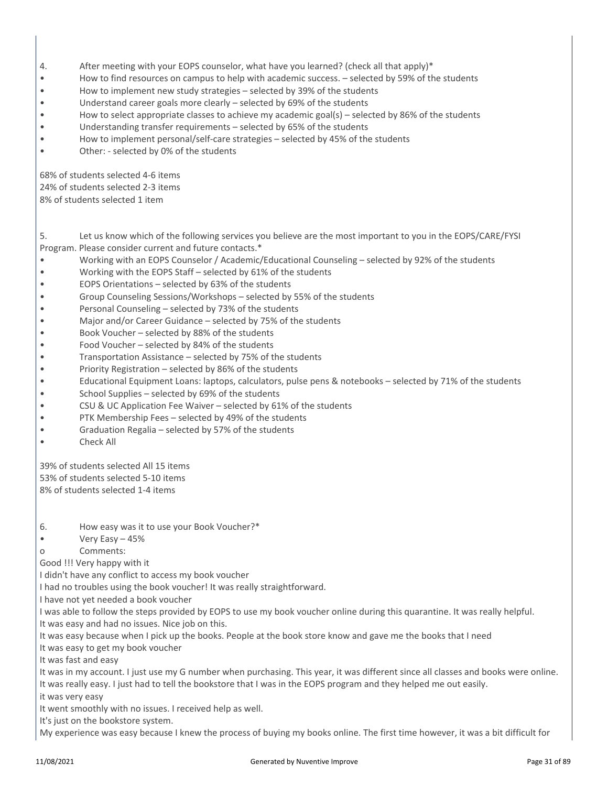- 4. After meeting with your EOPS counselor, what have you learned? (check all that apply)<sup>\*</sup>
- How to find resources on campus to help with academic success. selected by 59% of the students
- How to implement new study strategies selected by 39% of the students
- Understand career goals more clearly selected by 69% of the students
- How to select appropriate classes to achieve my academic goal(s) selected by 86% of the students
- Understanding transfer requirements selected by 65% of the students
- How to implement personal/self-care strategies selected by 45% of the students
- Other: selected by 0% of the students

68% of students selected 4-6 items 24% of students selected 2-3 items 8% of students selected 1 item

5. Let us know which of the following services you believe are the most important to you in the EOPS/CARE/FYSI Program. Please consider current and future contacts.\*

- Working with an EOPS Counselor / Academic/Educational Counseling selected by 92% of the students
- Working with the EOPS Staff selected by 61% of the students
- EOPS Orientations selected by 63% of the students
- Group Counseling Sessions/Workshops selected by 55% of the students
- Personal Counseling selected by 73% of the students
- Major and/or Career Guidance selected by 75% of the students
- Book Voucher selected by 88% of the students
- Food Voucher selected by 84% of the students
- Transportation Assistance selected by 75% of the students
- Priority Registration selected by 86% of the students
- Educational Equipment Loans: laptops, calculators, pulse pens & notebooks selected by 71% of the students
- School Supplies selected by 69% of the students
- CSU & UC Application Fee Waiver selected by 61% of the students
- PTK Membership Fees selected by 49% of the students
- Graduation Regalia selected by 57% of the students
- Check All

39% of students selected All 15 items 53% of students selected 5-10 items 8% of students selected 1-4 items

6. How easy was it to use your Book Voucher?\*

• Very Easy – 45%

o Comments:

Good !!! Very happy with it

I didn't have any conflict to access my book voucher

I had no troubles using the book voucher! It was really straightforward.

I have not yet needed a book voucher

I was able to follow the steps provided by EOPS to use my book voucher online during this quarantine. It was really helpful.

It was easy and had no issues. Nice job on this.

It was easy because when I pick up the books. People at the book store know and gave me the books that I need

It was easy to get my book voucher

It was fast and easy

It was in my account. I just use my G number when purchasing. This year, it was different since all classes and books were online. It was really easy. I just had to tell the bookstore that I was in the EOPS program and they helped me out easily.

it was very easy

It went smoothly with no issues. I received help as well.

It's just on the bookstore system.

My experience was easy because I knew the process of buying my books online. The first time however, it was a bit difficult for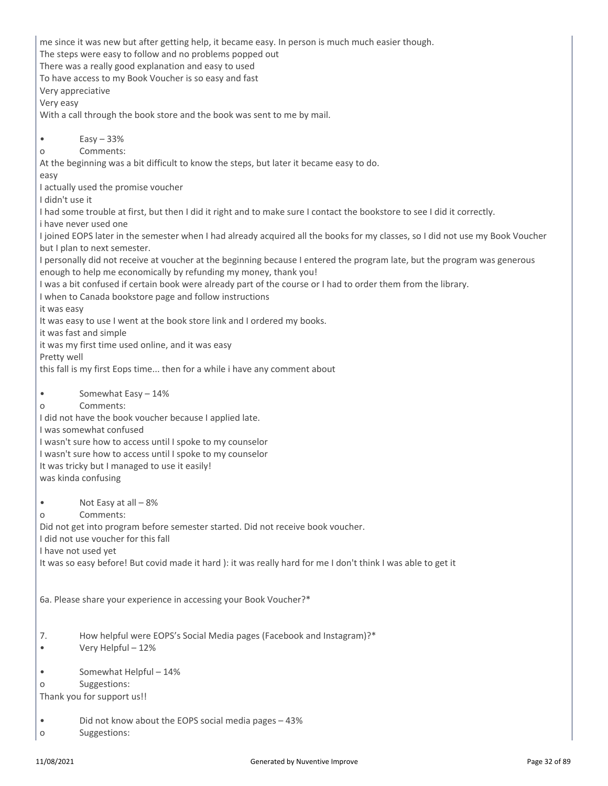me since it was new but after getting help, it became easy. In person is much much easier though. The steps were easy to follow and no problems popped out There was a really good explanation and easy to used To have access to my Book Voucher is so easy and fast Very appreciative Very easy With a call through the book store and the book was sent to me by mail.  $\bullet$  Easy  $-33\%$ o Comments: At the beginning was a bit difficult to know the steps, but later it became easy to do. easy I actually used the promise voucher I didn't use it I had some trouble at first, but then I did it right and to make sure I contact the bookstore to see I did it correctly. i have never used one I joined EOPS later in the semester when I had already acquired all the books for my classes, so I did not use my Book Voucher but I plan to next semester. I personally did not receive at voucher at the beginning because I entered the program late, but the program was generous enough to help me economically by refunding my money, thank you! I was a bit confused if certain book were already part of the course or I had to order them from the library. I when to Canada bookstore page and follow instructions it was easy It was easy to use I went at the book store link and I ordered my books. it was fast and simple it was my first time used online, and it was easy Pretty well this fall is my first Eops time... then for a while i have any comment about • Somewhat Easy – 14% o Comments: I did not have the book voucher because I applied late. I was somewhat confused I wasn't sure how to access until I spoke to my counselor I wasn't sure how to access until I spoke to my counselor It was tricky but I managed to use it easily! was kinda confusing • Not Easy at all – 8% o Comments: Did not get into program before semester started. Did not receive book voucher. I did not use voucher for this fall I have not used yet It was so easy before! But covid made it hard ): it was really hard for me I don't think I was able to get it 6a. Please share your experience in accessing your Book Voucher?\* 7. How helpful were EOPS's Social Media pages (Facebook and Instagram)?\* • Very Helpful – 12% • Somewhat Helpful – 14% o Suggestions: Thank you for support us!! • Did not know about the EOPS social media pages – 43% o Suggestions: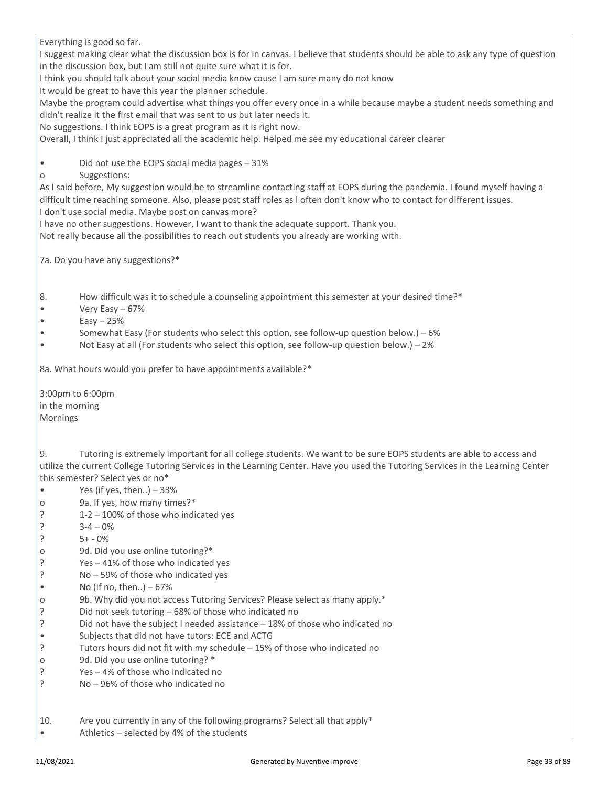Everything is good so far.

I suggest making clear what the discussion box is for in canvas. I believe that students should be able to ask any type of question in the discussion box, but I am still not quite sure what it is for.

I think you should talk about your social media know cause I am sure many do not know

It would be great to have this year the planner schedule.

Maybe the program could advertise what things you offer every once in a while because maybe a student needs something and didn't realize it the first email that was sent to us but later needs it.

No suggestions. I think EOPS is a great program as it is right now.

Overall, I think I just appreciated all the academic help. Helped me see my educational career clearer

• Did not use the EOPS social media pages – 31%

o Suggestions:

As I said before, My suggestion would be to streamline contacting staff at EOPS during the pandemia. I found myself having a difficult time reaching someone. Also, please post staff roles as I often don't know who to contact for different issues. I don't use social media. Maybe post on canvas more?

I have no other suggestions. However, I want to thank the adequate support. Thank you.

Not really because all the possibilities to reach out students you already are working with.

7a. Do you have any suggestions?\*

8. How difficult was it to schedule a counseling appointment this semester at your desired time?\*

- Very Easy 67%
- $\bullet$  Easy 25%
- Somewhat Easy (For students who select this option, see follow-up question below.) 6%
- Not Easy at all (For students who select this option, see follow-up question below.) 2%

8a. What hours would you prefer to have appointments available?\*

3:00pm to 6:00pm in the morning Mornings

9. Tutoring is extremely important for all college students. We want to be sure EOPS students are able to access and utilize the current College Tutoring Services in the Learning Center. Have you used the Tutoring Services in the Learning Center this semester? Select yes or no\*

- Yes (if yes, then..) 33%
- o 9a. If yes, how many times?\*
- ? 1-2 100% of those who indicated yes
- ?  $3-4-0%$
- ?  $5+ -0\%$
- o 9d. Did you use online tutoring?\*
- ? Yes 41% of those who indicated yes
- ? No 59% of those who indicated yes
- No (if no, then..)  $-67%$
- o 9b. Why did you not access Tutoring Services? Please select as many apply.\*
- ? Did not seek tutoring 68% of those who indicated no
- ? Did not have the subject I needed assistance 18% of those who indicated no
- Subjects that did not have tutors: ECE and ACTG
- ? Tutors hours did not fit with my schedule 15% of those who indicated no
- o 9d. Did you use online tutoring? \*
- ? Yes 4% of those who indicated no
- ? No 96% of those who indicated no
- 10. Are you currently in any of the following programs? Select all that apply\*
- Athletics selected by 4% of the students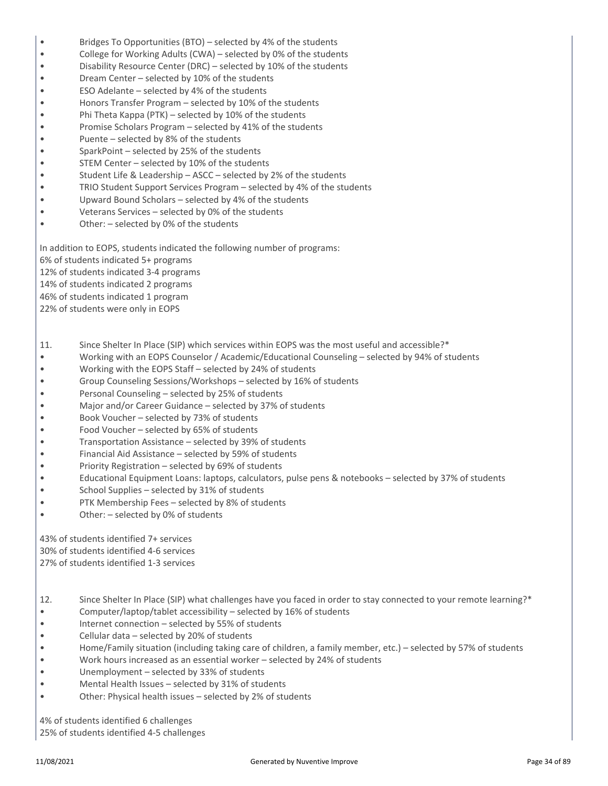- Bridges To Opportunities (BTO) selected by 4% of the students
- College for Working Adults (CWA) selected by 0% of the students
- Disability Resource Center (DRC) selected by 10% of the students
- Dream Center selected by 10% of the students
- ESO Adelante selected by 4% of the students
- Honors Transfer Program selected by 10% of the students
- Phi Theta Kappa (PTK) selected by 10% of the students
- Promise Scholars Program selected by 41% of the students
- Puente selected by 8% of the students
- SparkPoint selected by 25% of the students
- STEM Center selected by 10% of the students
- Student Life & Leadership ASCC selected by 2% of the students
- TRIO Student Support Services Program selected by 4% of the students
- Upward Bound Scholars selected by 4% of the students
- Veterans Services selected by 0% of the students
- Other: selected by 0% of the students

In addition to EOPS, students indicated the following number of programs:

6% of students indicated 5+ programs

12% of students indicated 3-4 programs

14% of students indicated 2 programs

46% of students indicated 1 program

22% of students were only in EOPS

- 11. Since Shelter In Place (SIP) which services within EOPS was the most useful and accessible?\*
- Working with an EOPS Counselor / Academic/Educational Counseling selected by 94% of students
- Working with the EOPS Staff selected by 24% of students
- Group Counseling Sessions/Workshops selected by 16% of students
- Personal Counseling selected by 25% of students
- Major and/or Career Guidance selected by 37% of students
- Book Voucher selected by 73% of students
- Food Voucher selected by 65% of students
- Transportation Assistance selected by 39% of students
- Financial Aid Assistance selected by 59% of students
- Priority Registration selected by 69% of students
- Educational Equipment Loans: laptops, calculators, pulse pens & notebooks selected by 37% of students
- School Supplies selected by 31% of students
- PTK Membership Fees selected by 8% of students
- Other: selected by 0% of students

43% of students identified 7+ services 30% of students identified 4-6 services

27% of students identified 1-3 services

- 12. Since Shelter In Place (SIP) what challenges have you faced in order to stay connected to your remote learning?\*
- Computer/laptop/tablet accessibility selected by 16% of students
- Internet connection  $-$  selected by 55% of students
- Cellular data selected by 20% of students
- Home/Family situation (including taking care of children, a family member, etc.) selected by 57% of students
- Work hours increased as an essential worker selected by 24% of students
- Unemployment selected by 33% of students
- Mental Health Issues selected by 31% of students
- Other: Physical health issues selected by 2% of students

4% of students identified 6 challenges

25% of students identified 4-5 challenges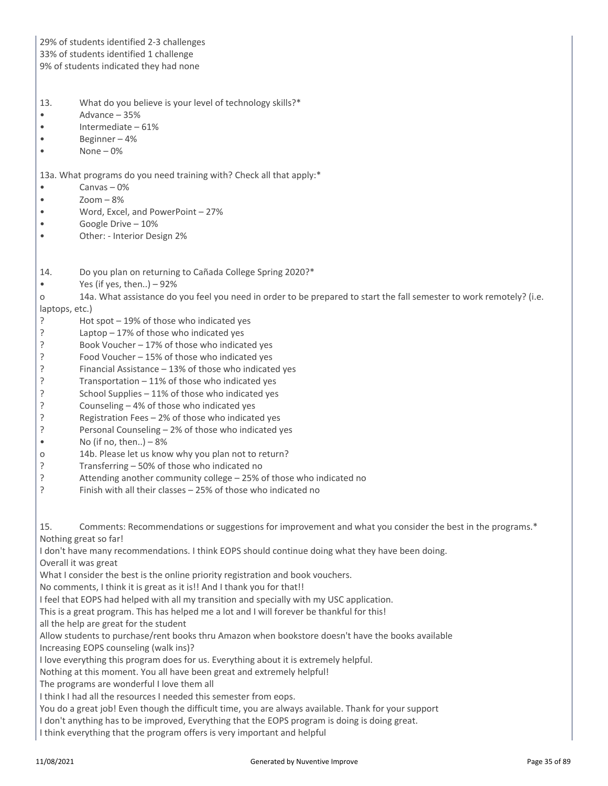| 29% of students identified 2-3 challenges<br>33% of students identified 1 challenge<br>9% of students indicated they had none                                                                                                                                                                                                                                                                                                                                                                                                                                                                                                                                                                                                                                                                                                                                                                                                                                                                                                                                                                                                                                                                                                                                                                                                                                                                      |
|----------------------------------------------------------------------------------------------------------------------------------------------------------------------------------------------------------------------------------------------------------------------------------------------------------------------------------------------------------------------------------------------------------------------------------------------------------------------------------------------------------------------------------------------------------------------------------------------------------------------------------------------------------------------------------------------------------------------------------------------------------------------------------------------------------------------------------------------------------------------------------------------------------------------------------------------------------------------------------------------------------------------------------------------------------------------------------------------------------------------------------------------------------------------------------------------------------------------------------------------------------------------------------------------------------------------------------------------------------------------------------------------------|
| What do you believe is your level of technology skills?*<br>13.<br>Advance - 35%<br>Intermediate - 61%<br>Beginner-4%<br>None $-0$ %                                                                                                                                                                                                                                                                                                                                                                                                                                                                                                                                                                                                                                                                                                                                                                                                                                                                                                                                                                                                                                                                                                                                                                                                                                                               |
| 13a. What programs do you need training with? Check all that apply:*<br>Canvas $-0$ %<br>$Zoom - 8%$<br>Word, Excel, and PowerPoint - 27%<br>Google Drive - 10%<br>Other: - Interior Design 2%                                                                                                                                                                                                                                                                                                                                                                                                                                                                                                                                                                                                                                                                                                                                                                                                                                                                                                                                                                                                                                                                                                                                                                                                     |
| Do you plan on returning to Cañada College Spring 2020?*<br>14.<br>Yes (if yes, then) $-92%$<br>14a. What assistance do you feel you need in order to be prepared to start the fall semester to work remotely? (i.e.<br>O<br>laptops, etc.)<br>Hot spot - 19% of those who indicated yes<br>ŗ<br>Laptop $-17%$ of those who indicated yes<br>?<br>Book Voucher - 17% of those who indicated yes<br>Food Voucher - 15% of those who indicated yes<br>?<br>Financial Assistance - 13% of those who indicated yes<br>?<br>Transportation - 11% of those who indicated yes<br>?<br>?<br>School Supplies - 11% of those who indicated yes<br>?<br>Counseling - 4% of those who indicated yes<br>Registration Fees - 2% of those who indicated yes<br>ç<br>Personal Counseling - 2% of those who indicated yes<br>ç<br>No (if no, then) $-8%$<br>14b. Please let us know why you plan not to return?<br>O<br>?<br>Transferring - 50% of those who indicated no<br>?<br>Attending another community college - 25% of those who indicated no<br>ŗ<br>Finish with all their classes - 25% of those who indicated no                                                                                                                                                                                                                                                                                         |
| Comments: Recommendations or suggestions for improvement and what you consider the best in the programs.*<br>15.<br>Nothing great so far!<br>I don't have many recommendations. I think EOPS should continue doing what they have been doing.<br>Overall it was great<br>What I consider the best is the online priority registration and book vouchers.<br>No comments, I think it is great as it is!! And I thank you for that!!<br>I feel that EOPS had helped with all my transition and specially with my USC application.<br>This is a great program. This has helped me a lot and I will forever be thankful for this!<br>all the help are great for the student<br>Allow students to purchase/rent books thru Amazon when bookstore doesn't have the books available<br>Increasing EOPS counseling (walk ins)?<br>I love everything this program does for us. Everything about it is extremely helpful.<br>Nothing at this moment. You all have been great and extremely helpful!<br>The programs are wonderful I love them all<br>I think I had all the resources I needed this semester from eops.<br>You do a great job! Even though the difficult time, you are always available. Thank for your support<br>I don't anything has to be improved, Everything that the EOPS program is doing is doing great.<br>I think everything that the program offers is very important and helpful |
|                                                                                                                                                                                                                                                                                                                                                                                                                                                                                                                                                                                                                                                                                                                                                                                                                                                                                                                                                                                                                                                                                                                                                                                                                                                                                                                                                                                                    |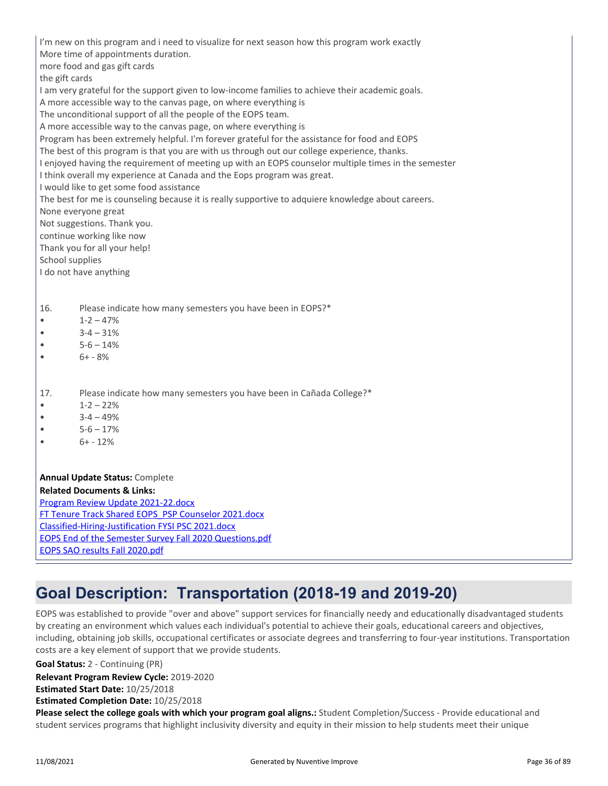| I'm new on this program and i need to visualize for next season how this program work exactly        |
|------------------------------------------------------------------------------------------------------|
| More time of appointments duration.                                                                  |
| more food and gas gift cards                                                                         |
| the gift cards                                                                                       |
| I am very grateful for the support given to low-income families to achieve their academic goals.     |
| A more accessible way to the canvas page, on where everything is                                     |
| The unconditional support of all the people of the EOPS team.                                        |
| A more accessible way to the canvas page, on where everything is                                     |
| Program has been extremely helpful. I'm forever grateful for the assistance for food and EOPS        |
| The best of this program is that you are with us through out our college experience, thanks.         |
| I enjoyed having the requirement of meeting up with an EOPS counselor multiple times in the semester |
| I think overall my experience at Canada and the Eops program was great.                              |
| I would like to get some food assistance                                                             |
| The best for me is counseling because it is really supportive to adquiere knowledge about careers.   |
| None everyone great                                                                                  |
| Not suggestions. Thank you.                                                                          |
| continue working like now                                                                            |
| Thank you for all your help!                                                                         |
| School supplies                                                                                      |
| I do not have anything                                                                               |
|                                                                                                      |
|                                                                                                      |
| Please indicate how many semesters you have been in EOPS?*<br>16.                                    |
| $1 - 2 - 47%$                                                                                        |
| $3 - 4 - 31%$                                                                                        |
| $5 - 6 - 14%$                                                                                        |
| $6+ - 8%$                                                                                            |
|                                                                                                      |
|                                                                                                      |
| Please indicate how many semesters you have been in Cañada College?*<br>17.                          |
| $1 - 2 - 22%$                                                                                        |
| $3 - 4 - 49%$                                                                                        |
| $5 - 6 - 17%$                                                                                        |
| $6+ - 12%$                                                                                           |
|                                                                                                      |
|                                                                                                      |
| <b>Annual Update Status: Complete</b>                                                                |
| <b>Related Documents &amp; Links:</b><br>Program Review Update 2021-22.docx                          |
| FT Tenure Track Shared EOPS PSP Counselor 2021.docx                                                  |
| Classified-Hiring-Justification FYSI PSC 2021.docx                                                   |
| <b>EOPS End of the Semester Survey Fall 2020 Questions.pdf</b>                                       |
| <b>EOPS SAO results Fall 2020.pdf</b>                                                                |
|                                                                                                      |

## **Goal Description: Transportation (2018-19 and 2019-20)**

EOPS was established to provide "over and above" support services for financially needy and educationally disadvantaged students by creating an environment which values each individual's potential to achieve their goals, educational careers and objectives, including, obtaining job skills, occupational certificates or associate degrees and transferring to four-year institutions. Transportation costs are a key element of support that we provide students.

**Goal Status:** 2 - Continuing (PR)

**Relevant Program Review Cycle:** 2019-2020

**Estimated Start Date:** 10/25/2018

**Estimated Completion Date:** 10/25/2018

**Please select the college goals with which your program goal aligns.:** Student Completion/Success - Provide educational and student services programs that highlight inclusivity diversity and equity in their mission to help students meet their unique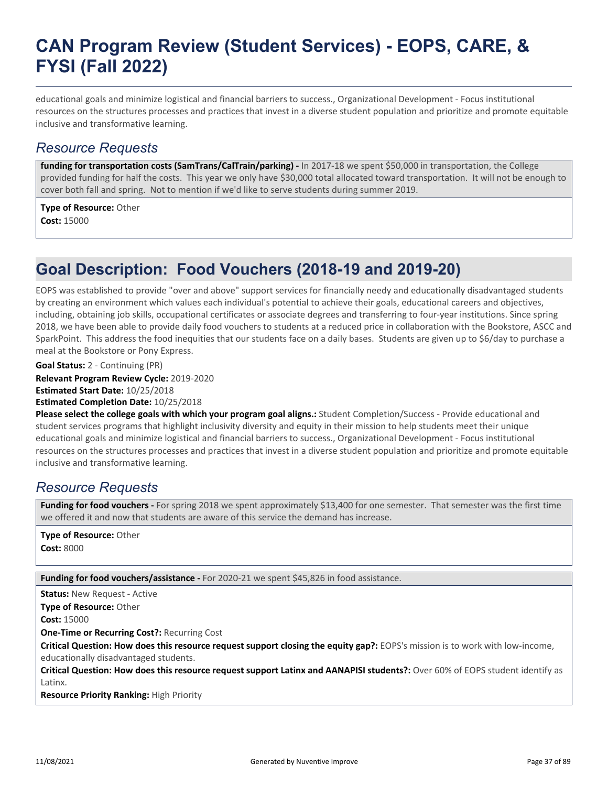educational goals and minimize logistical and financial barriers to success., Organizational Development - Focus institutional resources on the structures processes and practices that invest in a diverse student population and prioritize and promote equitable inclusive and transformative learning.

### *Resource Requests*

funding for transportation costs (SamTrans/CalTrain/parking) - In 2017-18 we spent \$50,000 in transportation, the College provided funding for half the costs. This year we only have \$30,000 total allocated toward transportation. It will not be enough to cover both fall and spring. Not to mention if we'd like to serve students during summer 2019.

**Type of Resource:** Other **Cost:** 15000

## **Goal Description: Food Vouchers (2018-19 and 2019-20)**

EOPS was established to provide "over and above" support services for financially needy and educationally disadvantaged students by creating an environment which values each individual's potential to achieve their goals, educational careers and objectives, including, obtaining job skills, occupational certificates or associate degrees and transferring to four-year institutions. Since spring 2018, we have been able to provide daily food vouchers to students at a reduced price in collaboration with the Bookstore, ASCC and SparkPoint. This address the food inequities that our students face on a daily bases. Students are given up to \$6/day to purchase a meal at the Bookstore or Pony Express.

**Goal Status:** 2 - Continuing (PR)

**Relevant Program Review Cycle:** 2019-2020

**Estimated Start Date:** 10/25/2018

**Estimated Completion Date:** 10/25/2018

**Please select the college goals with which your program goal aligns.:** Student Completion/Success - Provide educational and student services programs that highlight inclusivity diversity and equity in their mission to help students meet their unique educational goals and minimize logistical and financial barriers to success., Organizational Development - Focus institutional resources on the structures processes and practices that invest in a diverse student population and prioritize and promote equitable inclusive and transformative learning.

### *Resource Requests*

**Funding for food vouchers -** For spring 2018 we spent approximately \$13,400 for one semester. That semester was the first time we offered it and now that students are aware of this service the demand has increase.

**Type of Resource:** Other **Cost:** 8000

Funding for food vouchers/assistance - For 2020-21 we spent \$45,826 in food assistance.

**Status:** New Request - Active

**Type of Resource:** Other

**Cost:** 15000

**One-Time or Recurring Cost?:** Recurring Cost

**Critical Question: How does this resource request support closing the equity gap?:** EOPS's mission is to work with low-income, educationally disadvantaged students.

**Critical Question: How does this resource request support Latinx and AANAPISI students?:** Over 60% of EOPS student identify as Latinx.

**Resource Priority Ranking:** High Priority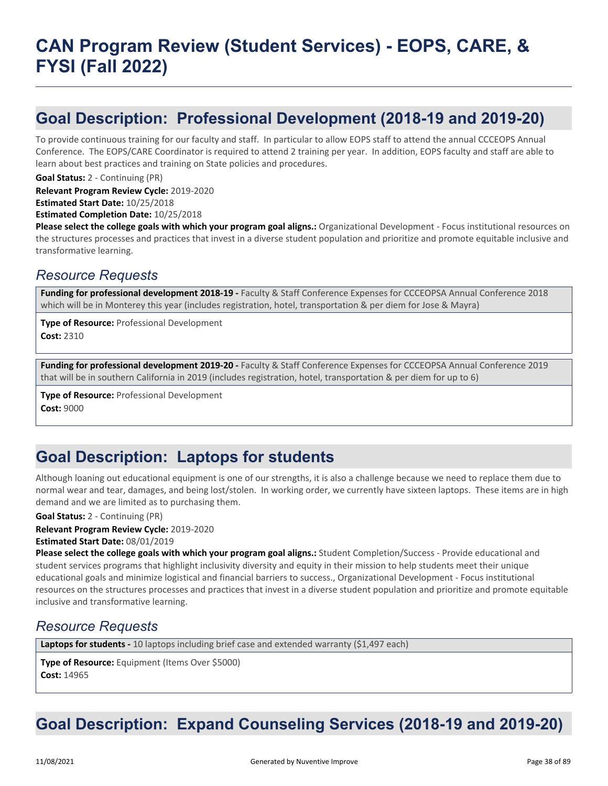## **Goal Description: Professional Development (2018-19 and 2019-20)**

To provide continuous training for our faculty and staff. In particular to allow EOPS staff to attend the annual CCCEOPS Annual Conference. The EOPS/CARE Coordinator is required to attend 2 training per year. In addition, EOPS faculty and staff are able to learn about best practices and training on State policies and procedures.

**Goal Status:** 2 - Continuing (PR)

**Relevant Program Review Cycle:** 2019-2020

**Estimated Start Date:** 10/25/2018

**Estimated Completion Date:** 10/25/2018

**Please select the college goals with which your program goal aligns.:** Organizational Development - Focus institutional resources on the structures processes and practices that invest in a diverse student population and prioritize and promote equitable inclusive and transformative learning.

### *Resource Requests*

**Funding for professional development 2018-19 -** Faculty & Staff Conference Expenses for CCCEOPSA Annual Conference 2018 which will be in Monterey this year (includes registration, hotel, transportation & per diem for Jose & Mayra)

**Type of Resource:** Professional Development **Cost:** 2310

**Funding for professional development 2019-20 -** Faculty & Staff Conference Expenses for CCCEOPSA Annual Conference 2019 that will be in southern California in 2019 (includes registration, hotel, transportation & per diem for up to 6)

**Type of Resource:** Professional Development **Cost:** 9000

## **Goal Description: Laptops for students**

Although loaning out educational equipment is one of our strengths, it is also a challenge because we need to replace them due to normal wear and tear, damages, and being lost/stolen. In working order, we currently have sixteen laptops. These items are in high demand and we are limited as to purchasing them.

**Goal Status:** 2 - Continuing (PR)

**Relevant Program Review Cycle:** 2019-2020

**Estimated Start Date:** 08/01/2019

**Please select the college goals with which your program goal aligns.:** Student Completion/Success - Provide educational and student services programs that highlight inclusivity diversity and equity in their mission to help students meet their unique educational goals and minimize logistical and financial barriers to success., Organizational Development - Focus institutional resources on the structures processes and practices that invest in a diverse student population and prioritize and promote equitable inclusive and transformative learning.

### *Resource Requests*

Laptops for students - 10 laptops including brief case and extended warranty (\$1,497 each)

**Type of Resource:** Equipment (Items Over \$5000) **Cost:** 14965

## **Goal Description: Expand Counseling Services (2018-19 and 2019-20)**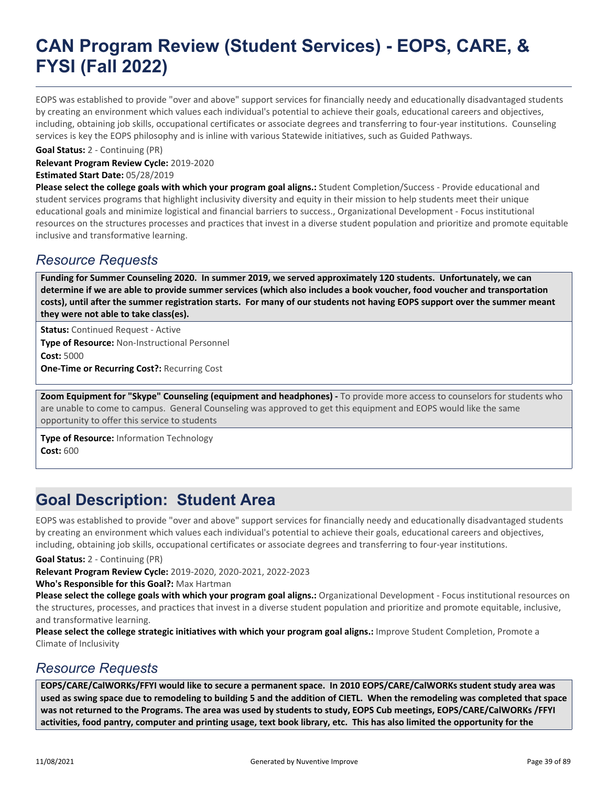EOPS was established to provide "over and above" support services for financially needy and educationally disadvantaged students by creating an environment which values each individual's potential to achieve their goals, educational careers and objectives, including, obtaining job skills, occupational certificates or associate degrees and transferring to four-year institutions. Counseling services is key the EOPS philosophy and is inline with various Statewide initiatives, such as Guided Pathways.

**Goal Status:** 2 - Continuing (PR)

**Relevant Program Review Cycle:** 2019-2020 **Estimated Start Date:** 05/28/2019

**Please select the college goals with which your program goal aligns.:** Student Completion/Success - Provide educational and student services programs that highlight inclusivity diversity and equity in their mission to help students meet their unique educational goals and minimize logistical and financial barriers to success., Organizational Development - Focus institutional resources on the structures processes and practices that invest in a diverse student population and prioritize and promote equitable inclusive and transformative learning.

### *Resource Requests*

**Funding for Summer Counseling 2020. In summer 2019, we served approximately 120 students. Unfortunately, we can determine if we are able to provide summer services (which also includes a book voucher, food voucher and transportation costs), until after the summer registration starts. For many of our students not having EOPS support over the summer meant they were not able to take class(es).**

**Status:** Continued Request - Active **Type of Resource:** Non-Instructional Personnel **Cost:** 5000 **One-Time or Recurring Cost?:** Recurring Cost

**Zoom Equipment for "Skype" Counseling (equipment and headphones) -** To provide more access to counselors for students who are unable to come to campus. General Counseling was approved to get this equipment and EOPS would like the same opportunity to offer this service to students

**Type of Resource:** Information Technology **Cost:** 600

## **Goal Description: Student Area**

EOPS was established to provide "over and above" support services for financially needy and educationally disadvantaged students by creating an environment which values each individual's potential to achieve their goals, educational careers and objectives, including, obtaining job skills, occupational certificates or associate degrees and transferring to four-year institutions.

**Goal Status:** 2 - Continuing (PR)

**Relevant Program Review Cycle:** 2019-2020, 2020-2021, 2022-2023

**Who's Responsible for this Goal?:** Max Hartman

**Please select the college goals with which your program goal aligns.:** Organizational Development - Focus institutional resources on the structures, processes, and practices that invest in a diverse student population and prioritize and promote equitable, inclusive, and transformative learning.

**Please select the college strategic initiatives with which your program goal aligns.:** Improve Student Completion, Promote a Climate of Inclusivity

### *Resource Requests*

**EOPS/CARE/CalWORKs/FFYI would like to secure a permanent space. In 2010 EOPS/CARE/CalWORKs student study area was used as swing space due to remodeling to building 5 and the addition of CIETL. When the remodeling was completed that space was not returned to the Programs. The area was used by students to study, EOPS Cub meetings, EOPS/CARE/CalWORKs /FFYI activities, food pantry, computer and printing usage, text book library, etc. This has also limited the opportunity for the**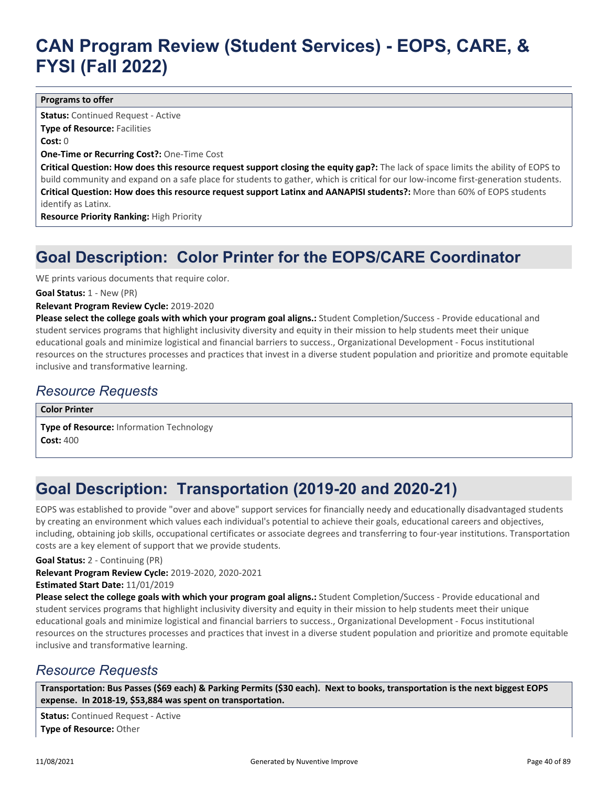#### **Programs to offer**

**Status:** Continued Request - Active **Type of Resource: Facilities Cost:** 0 **One-Time or Recurring Cost?:** One-Time Cost

**Critical Question: How does this resource request support closing the equity gap?:** The lack of space limits the ability of EOPS to build community and expand on a safe place for students to gather, which is critical for our low-income first-generation students. **Critical Question: How does this resource request support Latinx and AANAPISI students?:** More than 60% of EOPS students identify as Latinx.

**Resource Priority Ranking:** High Priority

## **Goal Description: Color Printer for the EOPS/CARE Coordinator**

WE prints various documents that require color.

**Goal Status:** 1 - New (PR)

#### **Relevant Program Review Cycle:** 2019-2020

**Please select the college goals with which your program goal aligns.:** Student Completion/Success - Provide educational and student services programs that highlight inclusivity diversity and equity in their mission to help students meet their unique educational goals and minimize logistical and financial barriers to success., Organizational Development - Focus institutional resources on the structures processes and practices that invest in a diverse student population and prioritize and promote equitable inclusive and transformative learning.

### *Resource Requests*

**Color Printer**

**Type of Resource:** Information Technology **Cost:** 400

## **Goal Description: Transportation (2019-20 and 2020-21)**

EOPS was established to provide "over and above" support services for financially needy and educationally disadvantaged students by creating an environment which values each individual's potential to achieve their goals, educational careers and objectives, including, obtaining job skills, occupational certificates or associate degrees and transferring to four-year institutions. Transportation costs are a key element of support that we provide students.

**Goal Status:** 2 - Continuing (PR)

**Relevant Program Review Cycle:** 2019-2020, 2020-2021

**Estimated Start Date:** 11/01/2019

**Please select the college goals with which your program goal aligns.:** Student Completion/Success - Provide educational and student services programs that highlight inclusivity diversity and equity in their mission to help students meet their unique educational goals and minimize logistical and financial barriers to success., Organizational Development - Focus institutional resources on the structures processes and practices that invest in a diverse student population and prioritize and promote equitable inclusive and transformative learning.

### *Resource Requests*

**Transportation: Bus Passes (\$69 each) & Parking Permits (\$30 each). Next to books, transportation is the next biggest EOPS expense. In 2018-19, \$53,884 was spent on transportation.**

**Status:** Continued Request - Active **Type of Resource:** Other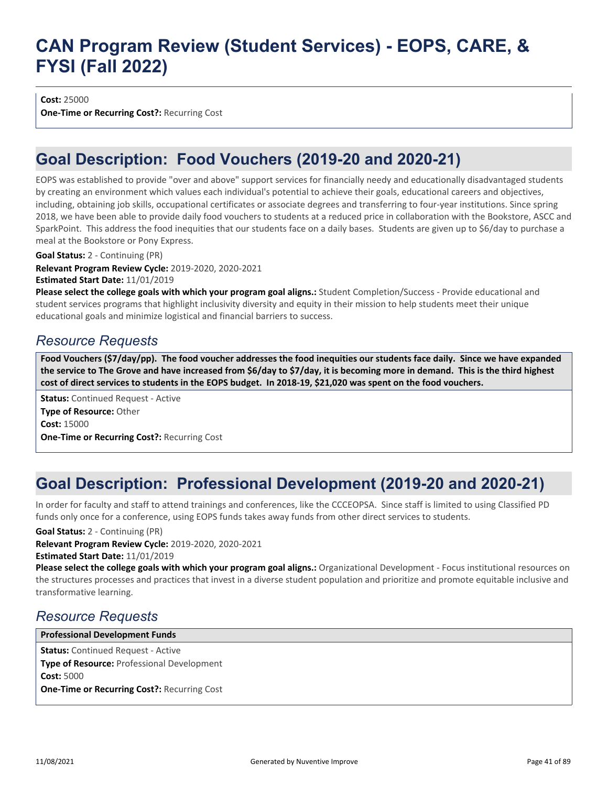**Cost:** 25000

**One-Time or Recurring Cost?:** Recurring Cost

## **Goal Description: Food Vouchers (2019-20 and 2020-21)**

EOPS was established to provide "over and above" support services for financially needy and educationally disadvantaged students by creating an environment which values each individual's potential to achieve their goals, educational careers and objectives, including, obtaining job skills, occupational certificates or associate degrees and transferring to four-year institutions. Since spring 2018, we have been able to provide daily food vouchers to students at a reduced price in collaboration with the Bookstore, ASCC and SparkPoint. This address the food inequities that our students face on a daily bases. Students are given up to \$6/day to purchase a meal at the Bookstore or Pony Express.

**Goal Status:** 2 - Continuing (PR)

**Relevant Program Review Cycle:** 2019-2020, 2020-2021

**Estimated Start Date:** 11/01/2019

**Please select the college goals with which your program goal aligns.:** Student Completion/Success - Provide educational and student services programs that highlight inclusivity diversity and equity in their mission to help students meet their unique educational goals and minimize logistical and financial barriers to success.

### *Resource Requests*

**Food Vouchers (\$7/day/pp). The food voucher addresses the food inequities our students face daily. Since we have expanded the service to The Grove and have increased from \$6/day to \$7/day, it is becoming more in demand. This is the third highest cost of direct services to students in the EOPS budget. In 2018-19, \$21,020 was spent on the food vouchers.**

**Status:** Continued Request - Active **Type of Resource:** Other **Cost:** 15000 **One-Time or Recurring Cost?:** Recurring Cost

## **Goal Description: Professional Development (2019-20 and 2020-21)**

In order for faculty and staff to attend trainings and conferences, like the CCCEOPSA. Since staff is limited to using Classified PD funds only once for a conference, using EOPS funds takes away funds from other direct services to students.

**Goal Status:** 2 - Continuing (PR)

**Relevant Program Review Cycle:** 2019-2020, 2020-2021

**Estimated Start Date:** 11/01/2019

**Please select the college goals with which your program goal aligns.:** Organizational Development - Focus institutional resources on the structures processes and practices that invest in a diverse student population and prioritize and promote equitable inclusive and transformative learning.

### *Resource Requests*

**Status:** Continued Request - Active **Type of Resource:** Professional Development **Cost:** 5000 **One-Time or Recurring Cost?:** Recurring Cost **Professional Development Funds**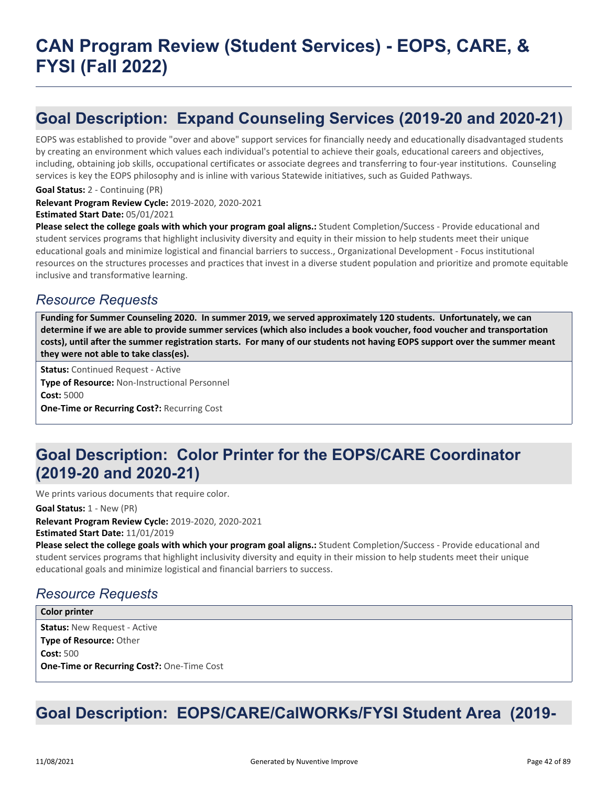## **Goal Description: Expand Counseling Services (2019-20 and 2020-21)**

EOPS was established to provide "over and above" support services for financially needy and educationally disadvantaged students by creating an environment which values each individual's potential to achieve their goals, educational careers and objectives, including, obtaining job skills, occupational certificates or associate degrees and transferring to four-year institutions. Counseling services is key the EOPS philosophy and is inline with various Statewide initiatives, such as Guided Pathways.

**Goal Status:** 2 - Continuing (PR)

**Relevant Program Review Cycle:** 2019-2020, 2020-2021

**Estimated Start Date:** 05/01/2021

**Please select the college goals with which your program goal aligns.:** Student Completion/Success - Provide educational and student services programs that highlight inclusivity diversity and equity in their mission to help students meet their unique educational goals and minimize logistical and financial barriers to success., Organizational Development - Focus institutional resources on the structures processes and practices that invest in a diverse student population and prioritize and promote equitable inclusive and transformative learning.

### *Resource Requests*

**Funding for Summer Counseling 2020. In summer 2019, we served approximately 120 students. Unfortunately, we can determine if we are able to provide summer services (which also includes a book voucher, food voucher and transportation costs), until after the summer registration starts. For many of our students not having EOPS support over the summer meant they were not able to take class(es).**

**Status:** Continued Request - Active **Type of Resource:** Non-Instructional Personnel **Cost:** 5000 **One-Time or Recurring Cost?:** Recurring Cost

## **Goal Description: Color Printer for the EOPS/CARE Coordinator (2019-20 and 2020-21)**

We prints various documents that require color.

**Goal Status:** 1 - New (PR)

**Relevant Program Review Cycle:** 2019-2020, 2020-2021 **Estimated Start Date:** 11/01/2019

**Please select the college goals with which your program goal aligns.:** Student Completion/Success - Provide educational and student services programs that highlight inclusivity diversity and equity in their mission to help students meet their unique educational goals and minimize logistical and financial barriers to success.

## *Resource Requests*

**Status:** New Request - Active **Type of Resource:** Other **Cost:** 500 **One-Time or Recurring Cost?:** One-Time Cost **Color printer**

## **Goal Description: EOPS/CARE/CalWORKs/FYSI Student Area (2019-**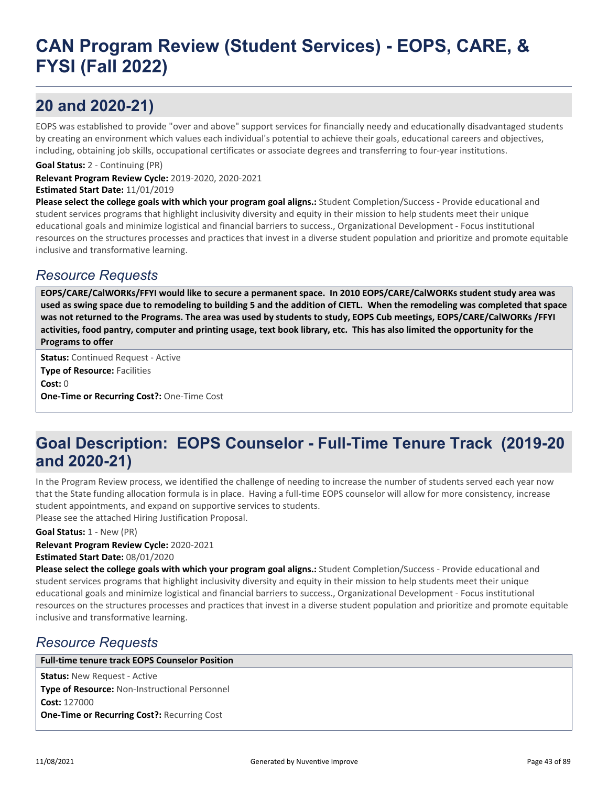## **20 and 2020-21)**

EOPS was established to provide "over and above" support services for financially needy and educationally disadvantaged students by creating an environment which values each individual's potential to achieve their goals, educational careers and objectives, including, obtaining job skills, occupational certificates or associate degrees and transferring to four-year institutions.

**Goal Status:** 2 - Continuing (PR)

**Relevant Program Review Cycle:** 2019-2020, 2020-2021 **Estimated Start Date:** 11/01/2019

**Please select the college goals with which your program goal aligns.:** Student Completion/Success - Provide educational and student services programs that highlight inclusivity diversity and equity in their mission to help students meet their unique educational goals and minimize logistical and financial barriers to success., Organizational Development - Focus institutional resources on the structures processes and practices that invest in a diverse student population and prioritize and promote equitable inclusive and transformative learning.

### *Resource Requests*

**EOPS/CARE/CalWORKs/FFYI would like to secure a permanent space. In 2010 EOPS/CARE/CalWORKs student study area was used as swing space due to remodeling to building 5 and the addition of CIETL. When the remodeling was completed that space was not returned to the Programs. The area was used by students to study, EOPS Cub meetings, EOPS/CARE/CalWORKs /FFYI activities, food pantry, computer and printing usage, text book library, etc. This has also limited the opportunity for the Programs to offer**

**Status:** Continued Request - Active **Type of Resource: Facilities Cost:** 0 **One-Time or Recurring Cost?:** One-Time Cost

## **Goal Description: EOPS Counselor - Full-Time Tenure Track (2019-20 and 2020-21)**

In the Program Review process, we identified the challenge of needing to increase the number of students served each year now that the State funding allocation formula is in place. Having a full-time EOPS counselor will allow for more consistency, increase student appointments, and expand on supportive services to students. Please see the attached Hiring Justification Proposal.

**Goal Status:** 1 - New (PR)

### **Relevant Program Review Cycle:** 2020-2021

**Estimated Start Date:** 08/01/2020

**Please select the college goals with which your program goal aligns.:** Student Completion/Success - Provide educational and student services programs that highlight inclusivity diversity and equity in their mission to help students meet their unique educational goals and minimize logistical and financial barriers to success., Organizational Development - Focus institutional resources on the structures processes and practices that invest in a diverse student population and prioritize and promote equitable inclusive and transformative learning.

### *Resource Requests*

#### **Full-time tenure track EOPS Counselor Position**

**Status:** New Request - Active **Type of Resource:** Non-Instructional Personnel **Cost:** 127000 **One-Time or Recurring Cost?:** Recurring Cost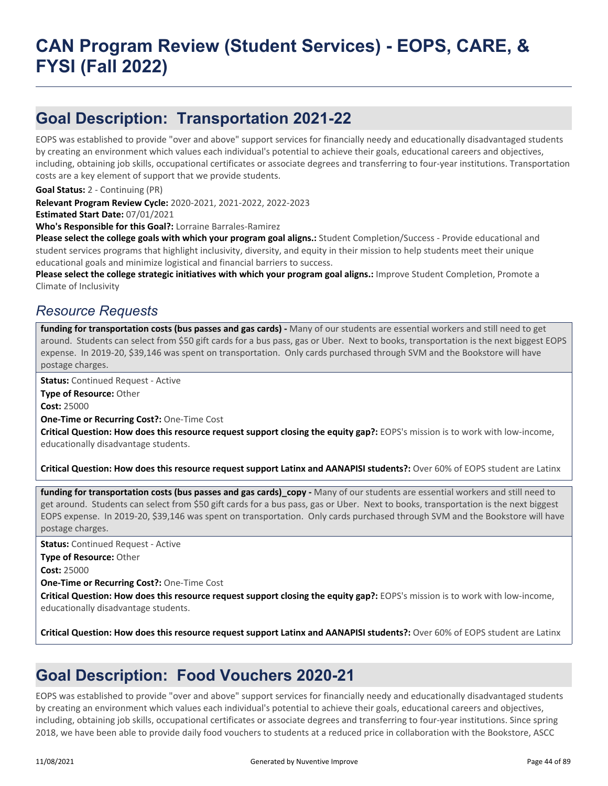## **Goal Description: Transportation 2021-22**

EOPS was established to provide "over and above" support services for financially needy and educationally disadvantaged students by creating an environment which values each individual's potential to achieve their goals, educational careers and objectives, including, obtaining job skills, occupational certificates or associate degrees and transferring to four-year institutions. Transportation costs are a key element of support that we provide students.

**Goal Status:** 2 - Continuing (PR)

**Relevant Program Review Cycle:** 2020-2021, 2021-2022, 2022-2023

**Estimated Start Date:** 07/01/2021

**Who's Responsible for this Goal?:** Lorraine Barrales-Ramirez

**Please select the college goals with which your program goal aligns.:** Student Completion/Success - Provide educational and student services programs that highlight inclusivity, diversity, and equity in their mission to help students meet their unique educational goals and minimize logistical and financial barriers to success.

**Please select the college strategic initiatives with which your program goal aligns.:** Improve Student Completion, Promote a Climate of Inclusivity

### *Resource Requests*

funding for transportation costs (bus passes and gas cards) - Many of our students are essential workers and still need to get around. Students can select from \$50 gift cards for a bus pass, gas or Uber. Next to books, transportation is the next biggest EOPS expense. In 2019-20, \$39,146 was spent on transportation. Only cards purchased through SVM and the Bookstore will have postage charges.

**Status:** Continued Request - Active

**Type of Resource:** Other **Cost:** 25000

**One-Time or Recurring Cost?:** One-Time Cost

**Critical Question: How does this resource request support closing the equity gap?:** EOPS's mission is to work with low-income, educationally disadvantage students.

**Critical Question: How does this resource request support Latinx and AANAPISI students?:** Over 60% of EOPS student are Latinx

**funding for transportation costs (bus passes and gas cards)\_copy -** Many of our students are essential workers and still need to get around. Students can select from \$50 gift cards for a bus pass, gas or Uber. Next to books, transportation is the next biggest EOPS expense. In 2019-20, \$39,146 was spent on transportation. Only cards purchased through SVM and the Bookstore will have postage charges.

**Status:** Continued Request - Active

**Type of Resource:** Other

**Cost:** 25000

**One-Time or Recurring Cost?:** One-Time Cost

**Critical Question: How does this resource request support closing the equity gap?:** EOPS's mission is to work with low-income, educationally disadvantage students.

**Critical Question: How does this resource request support Latinx and AANAPISI students?:** Over 60% of EOPS student are Latinx

## **Goal Description: Food Vouchers 2020-21**

EOPS was established to provide "over and above" support services for financially needy and educationally disadvantaged students by creating an environment which values each individual's potential to achieve their goals, educational careers and objectives, including, obtaining job skills, occupational certificates or associate degrees and transferring to four-year institutions. Since spring 2018, we have been able to provide daily food vouchers to students at a reduced price in collaboration with the Bookstore, ASCC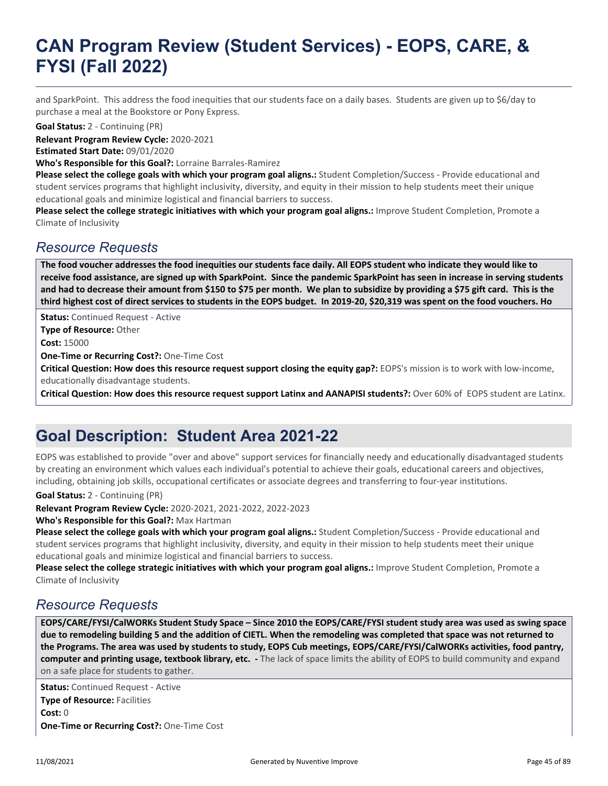and SparkPoint. This address the food inequities that our students face on a daily bases. Students are given up to \$6/day to purchase a meal at the Bookstore or Pony Express.

**Goal Status:** 2 - Continuing (PR)

**Relevant Program Review Cycle:** 2020-2021

**Estimated Start Date:** 09/01/2020

**Who's Responsible for this Goal?:** Lorraine Barrales-Ramirez

**Please select the college goals with which your program goal aligns.:** Student Completion/Success - Provide educational and student services programs that highlight inclusivity, diversity, and equity in their mission to help students meet their unique educational goals and minimize logistical and financial barriers to success.

**Please select the college strategic initiatives with which your program goal aligns.:** Improve Student Completion, Promote a Climate of Inclusivity

### *Resource Requests*

**The food voucher addresses the food inequities our students face daily. All EOPS student who indicate they would like to receive food assistance, are signed up with SparkPoint. Since the pandemic SparkPoint has seen in increase in serving students and had to decrease their amount from \$150 to \$75 per month. We plan to subsidize by providing a \$75 gift card. This is the third highest cost of direct services to students in the EOPS budget. In 2019-20, \$20,319 was spent on the food vouchers. Ho**

**Status: Continued Request - Active** 

**Type of Resource:** Other

**Cost:** 15000

**One-Time or Recurring Cost?:** One-Time Cost

**Critical Question: How does this resource request support closing the equity gap?:** EOPS's mission is to work with low-income, educationally disadvantage students.

**Critical Question: How does this resource request support Latinx and AANAPISI students?:** Over 60% of EOPS student are Latinx.

## **Goal Description: Student Area 2021-22**

EOPS was established to provide "over and above" support services for financially needy and educationally disadvantaged students by creating an environment which values each individual's potential to achieve their goals, educational careers and objectives, including, obtaining job skills, occupational certificates or associate degrees and transferring to four-year institutions.

**Goal Status:** 2 - Continuing (PR)

**Relevant Program Review Cycle:** 2020-2021, 2021-2022, 2022-2023

**Who's Responsible for this Goal?:** Max Hartman

**Please select the college goals with which your program goal aligns.:** Student Completion/Success - Provide educational and student services programs that highlight inclusivity, diversity, and equity in their mission to help students meet their unique educational goals and minimize logistical and financial barriers to success.

**Please select the college strategic initiatives with which your program goal aligns.:** Improve Student Completion, Promote a Climate of Inclusivity

### *Resource Requests*

**EOPS/CARE/FYSI/CalWORKs Student Study Space – Since 2010 the EOPS/CARE/FYSI student study area was used as swing space due to remodeling building 5 and the addition of CIETL. When the remodeling was completed that space was not returned to the Programs. The area was used by students to study, EOPS Cub meetings, EOPS/CARE/FYSI/CalWORKs activities, food pantry, computer and printing usage, textbook library, etc. -** The lack of space limits the ability of EOPS to build community and expand on a safe place for students to gather.

**Status:** Continued Request - Active **Type of Resource:** Facilities **Cost:** 0 **One-Time or Recurring Cost?:** One-Time Cost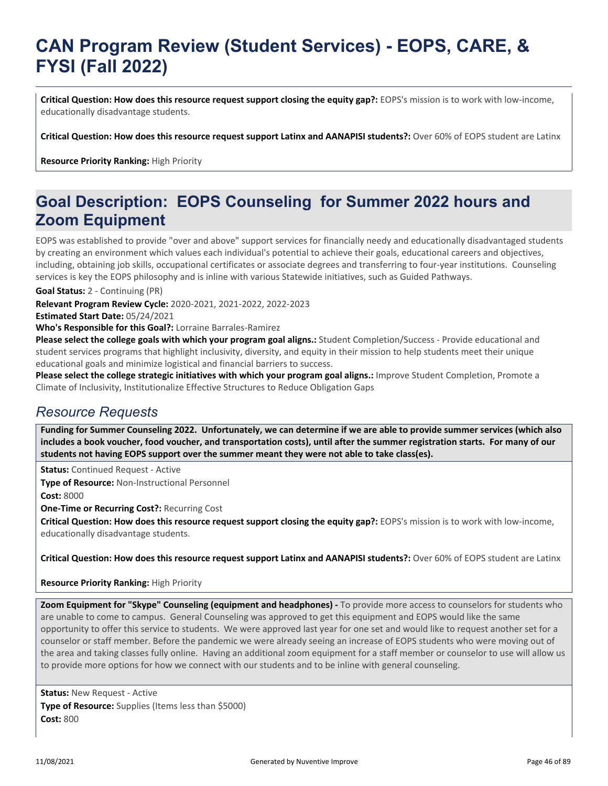**Critical Question: How does this resource request support closing the equity gap?:** EOPS's mission is to work with low-income, educationally disadvantage students.

**Critical Question: How does this resource request support Latinx and AANAPISI students?:** Over 60% of EOPS student are Latinx

**Resource Priority Ranking:** High Priority

## **Goal Description: EOPS Counseling for Summer 2022 hours and Zoom Equipment**

EOPS was established to provide "over and above" support services for financially needy and educationally disadvantaged students by creating an environment which values each individual's potential to achieve their goals, educational careers and objectives, including, obtaining job skills, occupational certificates or associate degrees and transferring to four-year institutions. Counseling services is key the EOPS philosophy and is inline with various Statewide initiatives, such as Guided Pathways.

**Goal Status:** 2 - Continuing (PR)

**Relevant Program Review Cycle:** 2020-2021, 2021-2022, 2022-2023

**Estimated Start Date:** 05/24/2021

**Who's Responsible for this Goal?:** Lorraine Barrales-Ramirez

**Please select the college goals with which your program goal aligns.:** Student Completion/Success - Provide educational and student services programs that highlight inclusivity, diversity, and equity in their mission to help students meet their unique educational goals and minimize logistical and financial barriers to success.

**Please select the college strategic initiatives with which your program goal aligns.:** Improve Student Completion, Promote a Climate of Inclusivity, Institutionalize Effective Structures to Reduce Obligation Gaps

### *Resource Requests*

**Funding for Summer Counseling 2022. Unfortunately, we can determine if we are able to provide summer services (which also includes a book voucher, food voucher, and transportation costs), until after the summer registration starts. For many of our students not having EOPS support over the summer meant they were not able to take class(es).**

**Status:** Continued Request - Active **Type of Resource:** Non-Instructional Personnel **Cost:** 8000

**One-Time or Recurring Cost?:** Recurring Cost

**Critical Question: How does this resource request support closing the equity gap?:** EOPS's mission is to work with low-income, educationally disadvantage students.

**Critical Question: How does this resource request support Latinx and AANAPISI students?:** Over 60% of EOPS student are Latinx

#### **Resource Priority Ranking:** High Priority

**Zoom Equipment for "Skype" Counseling (equipment and headphones) - To provide more access to counselors for students who** are unable to come to campus. General Counseling was approved to get this equipment and EOPS would like the same opportunity to offer this service to students. We were approved last year for one set and would like to request another set for a counselor or staff member. Before the pandemic we were already seeing an increase of EOPS students who were moving out of the area and taking classes fully online. Having an additional zoom equipment for a staff member or counselor to use will allow us to provide more options for how we connect with our students and to be inline with general counseling.

**Status:** New Request - Active **Type of Resource:** Supplies (Items less than \$5000) **Cost:** 800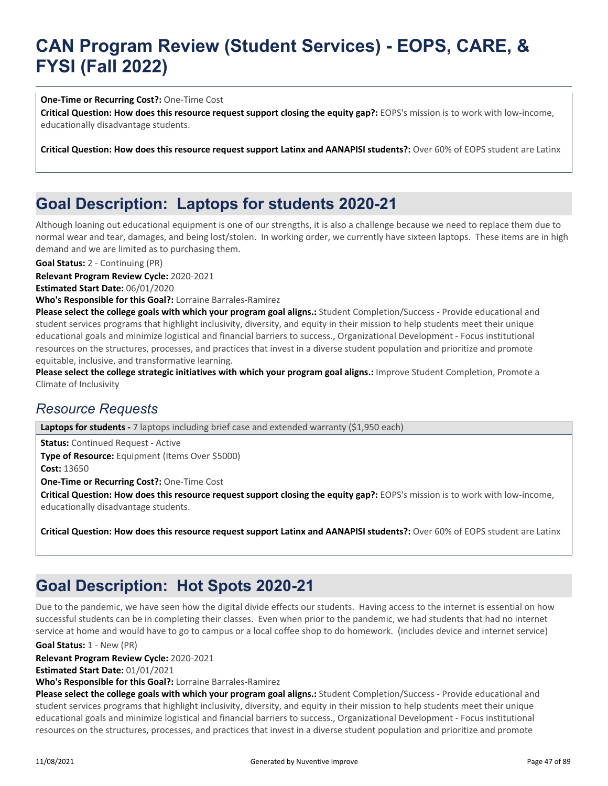#### **One-Time or Recurring Cost?:** One-Time Cost

**Critical Question: How does this resource request support closing the equity gap?:** EOPS's mission is to work with low-income, educationally disadvantage students.

**Critical Question: How does this resource request support Latinx and AANAPISI students?:** Over 60% of EOPS student are Latinx

## **Goal Description: Laptops for students 2020-21**

Although loaning out educational equipment is one of our strengths, it is also a challenge because we need to replace them due to normal wear and tear, damages, and being lost/stolen. In working order, we currently have sixteen laptops. These items are in high demand and we are limited as to purchasing them.

**Goal Status:** 2 - Continuing (PR)

**Relevant Program Review Cycle:** 2020-2021

**Estimated Start Date:** 06/01/2020

**Who's Responsible for this Goal?:** Lorraine Barrales-Ramirez

**Please select the college goals with which your program goal aligns.:** Student Completion/Success - Provide educational and student services programs that highlight inclusivity, diversity, and equity in their mission to help students meet their unique educational goals and minimize logistical and financial barriers to success., Organizational Development - Focus institutional resources on the structures, processes, and practices that invest in a diverse student population and prioritize and promote equitable, inclusive, and transformative learning.

**Please select the college strategic initiatives with which your program goal aligns.:** Improve Student Completion, Promote a Climate of Inclusivity

### *Resource Requests*

Laptops for students - 7 laptops including brief case and extended warranty (\$1,950 each)

**Status:** Continued Request - Active **Type of Resource:** Equipment (Items Over \$5000)

**Cost:** 13650

**One-Time or Recurring Cost?:** One-Time Cost

**Critical Question: How does this resource request support closing the equity gap?:** EOPS's mission is to work with low-income, educationally disadvantage students.

**Critical Question: How does this resource request support Latinx and AANAPISI students?:** Over 60% of EOPS student are Latinx

## **Goal Description: Hot Spots 2020-21**

Due to the pandemic, we have seen how the digital divide effects our students. Having access to the internet is essential on how successful students can be in completing their classes. Even when prior to the pandemic, we had students that had no internet service at home and would have to go to campus or a local coffee shop to do homework. (includes device and internet service)

**Goal Status:** 1 - New (PR)

**Relevant Program Review Cycle:** 2020-2021

**Estimated Start Date:** 01/01/2021

**Who's Responsible for this Goal?:** Lorraine Barrales-Ramirez

**Please select the college goals with which your program goal aligns.:** Student Completion/Success - Provide educational and student services programs that highlight inclusivity, diversity, and equity in their mission to help students meet their unique educational goals and minimize logistical and financial barriers to success., Organizational Development - Focus institutional resources on the structures, processes, and practices that invest in a diverse student population and prioritize and promote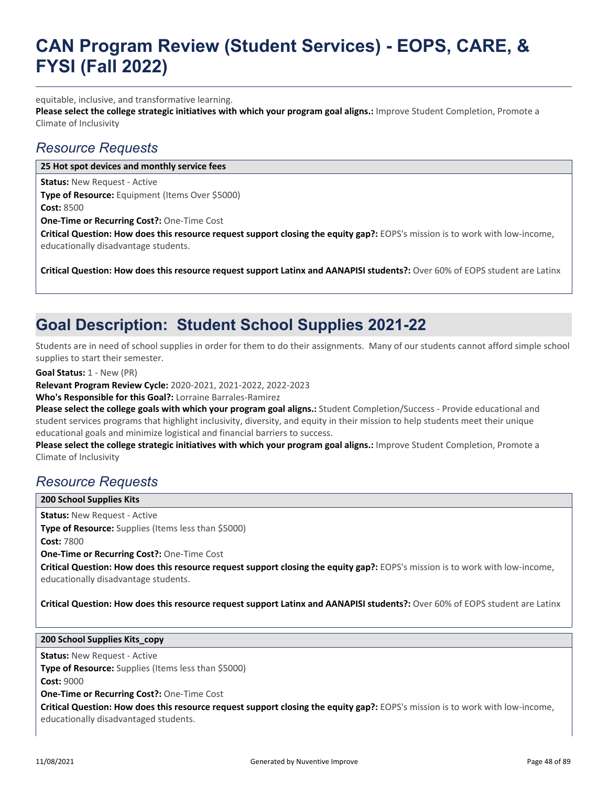equitable, inclusive, and transformative learning.

**Please select the college strategic initiatives with which your program goal aligns.:** Improve Student Completion, Promote a Climate of Inclusivity

### *Resource Requests*

**25 Hot spot devices and monthly service fees**

**Status:** New Request - Active

**Type of Resource:** Equipment (Items Over \$5000) **Cost:** 8500

**One-Time or Recurring Cost?:** One-Time Cost

**Critical Question: How does this resource request support closing the equity gap?:** EOPS's mission is to work with low-income, educationally disadvantage students.

**Critical Question: How does this resource request support Latinx and AANAPISI students?:** Over 60% of EOPS student are Latinx

## **Goal Description: Student School Supplies 2021-22**

Students are in need of school supplies in order for them to do their assignments. Many of our students cannot afford simple school supplies to start their semester.

**Goal Status:** 1 - New (PR)

**Relevant Program Review Cycle:** 2020-2021, 2021-2022, 2022-2023

**Who's Responsible for this Goal?:** Lorraine Barrales-Ramirez

**Please select the college goals with which your program goal aligns.:** Student Completion/Success - Provide educational and student services programs that highlight inclusivity, diversity, and equity in their mission to help students meet their unique educational goals and minimize logistical and financial barriers to success.

**Please select the college strategic initiatives with which your program goal aligns.:** Improve Student Completion, Promote a Climate of Inclusivity

### *Resource Requests*

**200 School Supplies Kits**

**Status:** New Request - Active **Type of Resource:** Supplies (Items less than \$5000) **Cost:** 7800

**One-Time or Recurring Cost?:** One-Time Cost

**Critical Question: How does this resource request support closing the equity gap?:** EOPS's mission is to work with low-income, educationally disadvantage students.

**Critical Question: How does this resource request support Latinx and AANAPISI students?:** Over 60% of EOPS student are Latinx

#### **200 School Supplies Kits\_copy**

**Status:** New Request - Active

**Type of Resource:** Supplies (Items less than \$5000)

**Cost:** 9000

**One-Time or Recurring Cost?:** One-Time Cost

**Critical Question: How does this resource request support closing the equity gap?:** EOPS's mission is to work with low-income, educationally disadvantaged students.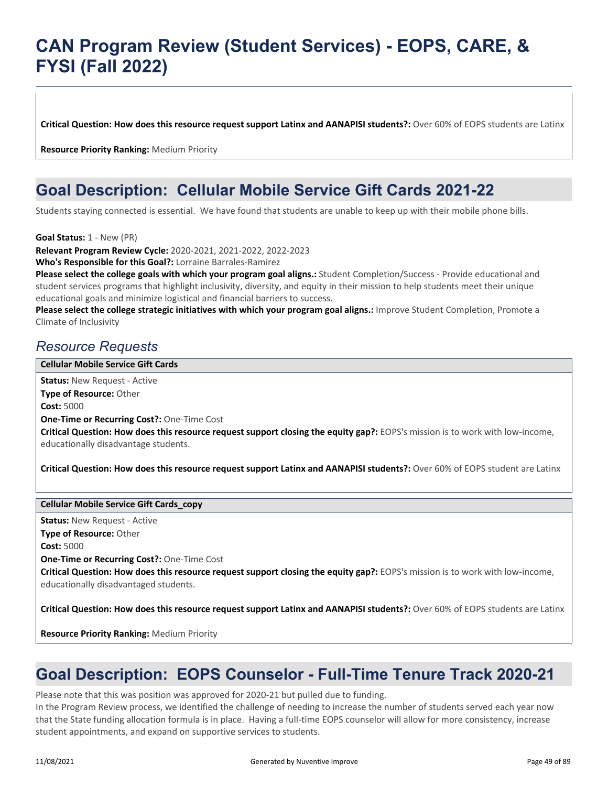**Critical Question: How does this resource request support Latinx and AANAPISI students?:** Over 60% of EOPS students are Latinx

**Resource Priority Ranking:** Medium Priority

## **Goal Description: Cellular Mobile Service Gift Cards 2021-22**

Students staying connected is essential. We have found that students are unable to keep up with their mobile phone bills.

**Goal Status:** 1 - New (PR)

**Relevant Program Review Cycle:** 2020-2021, 2021-2022, 2022-2023

**Who's Responsible for this Goal?:** Lorraine Barrales-Ramirez

**Please select the college goals with which your program goal aligns.:** Student Completion/Success - Provide educational and student services programs that highlight inclusivity, diversity, and equity in their mission to help students meet their unique educational goals and minimize logistical and financial barriers to success.

**Please select the college strategic initiatives with which your program goal aligns.:** Improve Student Completion, Promote a Climate of Inclusivity

### *Resource Requests*

#### **Cellular Mobile Service Gift Cards**

**Status:** New Request - Active **Type of Resource:** Other **Cost:** 5000 **One-Time or Recurring Cost?:** One-Time Cost **Critical Question: How does this resource request support closing the equity gap?:** EOPS's mission is to work with low-income, educationally disadvantage students.

**Critical Question: How does this resource request support Latinx and AANAPISI students?:** Over 60% of EOPS student are Latinx

#### **Cellular Mobile Service Gift Cards\_copy**

**Status:** New Request - Active **Type of Resource:** Other **Cost:** 5000 **One-Time or Recurring Cost?:** One-Time Cost **Critical Question: How does this resource request support closing the equity gap?:** EOPS's mission is to work with low-income, educationally disadvantaged students.

**Critical Question: How does this resource request support Latinx and AANAPISI students?:** Over 60% of EOPS students are Latinx

**Resource Priority Ranking:** Medium Priority

## **Goal Description: EOPS Counselor - Full-Time Tenure Track 2020-21**

Please note that this was position was approved for 2020-21 but pulled due to funding.

In the Program Review process, we identified the challenge of needing to increase the number of students served each year now that the State funding allocation formula is in place. Having a full-time EOPS counselor will allow for more consistency, increase student appointments, and expand on supportive services to students.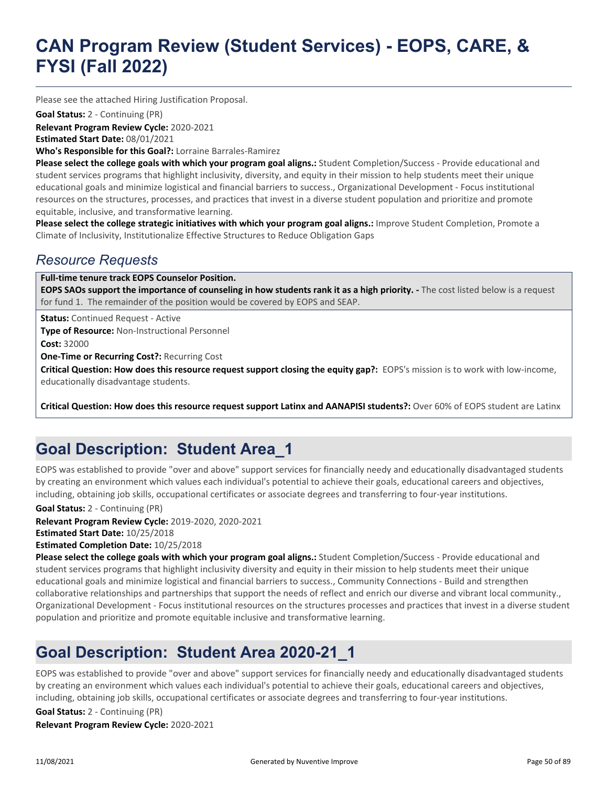Please see the attached Hiring Justification Proposal.

**Goal Status:** 2 - Continuing (PR)

**Relevant Program Review Cycle:** 2020-2021

**Estimated Start Date:** 08/01/2021

**Who's Responsible for this Goal?:** Lorraine Barrales-Ramirez

**Please select the college goals with which your program goal aligns.:** Student Completion/Success - Provide educational and student services programs that highlight inclusivity, diversity, and equity in their mission to help students meet their unique educational goals and minimize logistical and financial barriers to success., Organizational Development - Focus institutional resources on the structures, processes, and practices that invest in a diverse student population and prioritize and promote equitable, inclusive, and transformative learning.

**Please select the college strategic initiatives with which your program goal aligns.:** Improve Student Completion, Promote a Climate of Inclusivity, Institutionalize Effective Structures to Reduce Obligation Gaps

### *Resource Requests*

**Full-time tenure track EOPS Counselor Position.**

**EOPS SAOs support the importance of counseling in how students rank it as a high priority. - The cost listed below is a request** for fund 1. The remainder of the position would be covered by EOPS and SEAP.

**Status:** Continued Request - Active

**Type of Resource:** Non-Instructional Personnel **Cost:** 32000

**One-Time or Recurring Cost?:** Recurring Cost

**Critical Question: How does this resource request support closing the equity gap?:** EOPS's mission is to work with low-income, educationally disadvantage students.

**Critical Question: How does this resource request support Latinx and AANAPISI students?:** Over 60% of EOPS student are Latinx

## **Goal Description: Student Area\_1**

EOPS was established to provide "over and above" support services for financially needy and educationally disadvantaged students by creating an environment which values each individual's potential to achieve their goals, educational careers and objectives, including, obtaining job skills, occupational certificates or associate degrees and transferring to four-year institutions.

**Goal Status:** 2 - Continuing (PR)

**Relevant Program Review Cycle:** 2019-2020, 2020-2021 **Estimated Start Date:** 10/25/2018

**Estimated Completion Date:** 10/25/2018

**Please select the college goals with which your program goal aligns.:** Student Completion/Success - Provide educational and student services programs that highlight inclusivity diversity and equity in their mission to help students meet their unique educational goals and minimize logistical and financial barriers to success., Community Connections - Build and strengthen collaborative relationships and partnerships that support the needs of reflect and enrich our diverse and vibrant local community., Organizational Development - Focus institutional resources on the structures processes and practices that invest in a diverse student population and prioritize and promote equitable inclusive and transformative learning.

## **Goal Description: Student Area 2020-21\_1**

EOPS was established to provide "over and above" support services for financially needy and educationally disadvantaged students by creating an environment which values each individual's potential to achieve their goals, educational careers and objectives, including, obtaining job skills, occupational certificates or associate degrees and transferring to four-year institutions.

**Relevant Program Review Cycle:** 2020-2021 **Goal Status:** 2 - Continuing (PR)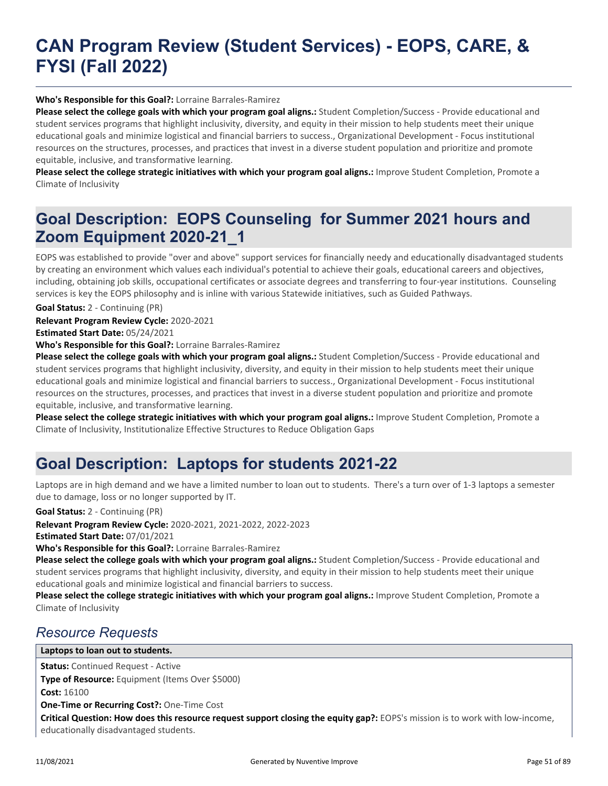#### **Who's Responsible for this Goal?:** Lorraine Barrales-Ramirez

**Please select the college goals with which your program goal aligns.:** Student Completion/Success - Provide educational and student services programs that highlight inclusivity, diversity, and equity in their mission to help students meet their unique educational goals and minimize logistical and financial barriers to success., Organizational Development - Focus institutional resources on the structures, processes, and practices that invest in a diverse student population and prioritize and promote equitable, inclusive, and transformative learning.

**Please select the college strategic initiatives with which your program goal aligns.:** Improve Student Completion, Promote a Climate of Inclusivity

## **Goal Description: EOPS Counseling for Summer 2021 hours and Zoom Equipment 2020-21\_1**

EOPS was established to provide "over and above" support services for financially needy and educationally disadvantaged students by creating an environment which values each individual's potential to achieve their goals, educational careers and objectives, including, obtaining job skills, occupational certificates or associate degrees and transferring to four-year institutions. Counseling services is key the EOPS philosophy and is inline with various Statewide initiatives, such as Guided Pathways.

**Goal Status:** 2 - Continuing (PR)

**Relevant Program Review Cycle:** 2020-2021

**Estimated Start Date:** 05/24/2021

**Who's Responsible for this Goal?:** Lorraine Barrales-Ramirez

**Please select the college goals with which your program goal aligns.:** Student Completion/Success - Provide educational and student services programs that highlight inclusivity, diversity, and equity in their mission to help students meet their unique educational goals and minimize logistical and financial barriers to success., Organizational Development - Focus institutional resources on the structures, processes, and practices that invest in a diverse student population and prioritize and promote equitable, inclusive, and transformative learning.

**Please select the college strategic initiatives with which your program goal aligns.:** Improve Student Completion, Promote a Climate of Inclusivity, Institutionalize Effective Structures to Reduce Obligation Gaps

## **Goal Description: Laptops for students 2021-22**

Laptops are in high demand and we have a limited number to loan out to students. There's a turn over of 1-3 laptops a semester due to damage, loss or no longer supported by IT.

**Goal Status:** 2 - Continuing (PR)

**Relevant Program Review Cycle:** 2020-2021, 2021-2022, 2022-2023

**Estimated Start Date:** 07/01/2021

**Who's Responsible for this Goal?:** Lorraine Barrales-Ramirez

**Please select the college goals with which your program goal aligns.:** Student Completion/Success - Provide educational and student services programs that highlight inclusivity, diversity, and equity in their mission to help students meet their unique educational goals and minimize logistical and financial barriers to success.

**Please select the college strategic initiatives with which your program goal aligns.:** Improve Student Completion, Promote a Climate of Inclusivity

### *Resource Requests*

#### **Laptops to loan out to students.**

**Status:** Continued Request - Active **Type of Resource:** Equipment (Items Over \$5000) **Cost:** 16100 **One-Time or Recurring Cost?:** One-Time Cost **Critical Question: How does this resource request support closing the equity gap?:** EOPS's mission is to work with low-income, educationally disadvantaged students.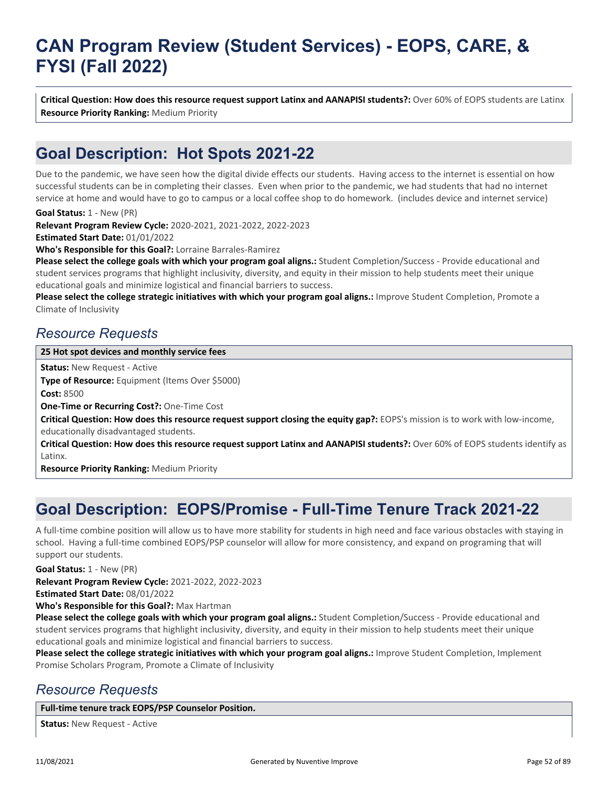**Critical Question: How does this resource request support Latinx and AANAPISI students?:** Over 60% of EOPS students are Latinx **Resource Priority Ranking:** Medium Priority

## **Goal Description: Hot Spots 2021-22**

Due to the pandemic, we have seen how the digital divide effects our students. Having access to the internet is essential on how successful students can be in completing their classes. Even when prior to the pandemic, we had students that had no internet service at home and would have to go to campus or a local coffee shop to do homework. (includes device and internet service)

**Goal Status:** 1 - New (PR)

**Relevant Program Review Cycle:** 2020-2021, 2021-2022, 2022-2023

**Estimated Start Date:** 01/01/2022

**Who's Responsible for this Goal?:** Lorraine Barrales-Ramirez

**Please select the college goals with which your program goal aligns.:** Student Completion/Success - Provide educational and student services programs that highlight inclusivity, diversity, and equity in their mission to help students meet their unique educational goals and minimize logistical and financial barriers to success.

**Please select the college strategic initiatives with which your program goal aligns.:** Improve Student Completion, Promote a Climate of Inclusivity

### *Resource Requests*

#### **25 Hot spot devices and monthly service fees**

**Status:** New Request - Active

**Type of Resource:** Equipment (Items Over \$5000)

**Cost:** 8500

**One-Time or Recurring Cost?:** One-Time Cost

**Critical Question: How does this resource request support closing the equity gap?:** EOPS's mission is to work with low-income, educationally disadvantaged students.

**Critical Question: How does this resource request support Latinx and AANAPISI students?:** Over 60% of EOPS students identify as Latinx.

**Resource Priority Ranking:** Medium Priority

## **Goal Description: EOPS/Promise - Full-Time Tenure Track 2021-22**

A full-time combine position will allow us to have more stability for students in high need and face various obstacles with staying in school. Having a full-time combined EOPS/PSP counselor will allow for more consistency, and expand on programing that will support our students.

**Goal Status:** 1 - New (PR)

**Relevant Program Review Cycle:** 2021-2022, 2022-2023

**Estimated Start Date:** 08/01/2022

**Who's Responsible for this Goal?:** Max Hartman

**Please select the college goals with which your program goal aligns.:** Student Completion/Success - Provide educational and student services programs that highlight inclusivity, diversity, and equity in their mission to help students meet their unique educational goals and minimize logistical and financial barriers to success.

**Please select the college strategic initiatives with which your program goal aligns.:** Improve Student Completion, Implement Promise Scholars Program, Promote a Climate of Inclusivity

### *Resource Requests*

**Full-time tenure track EOPS/PSP Counselor Position.**

**Status:** New Request - Active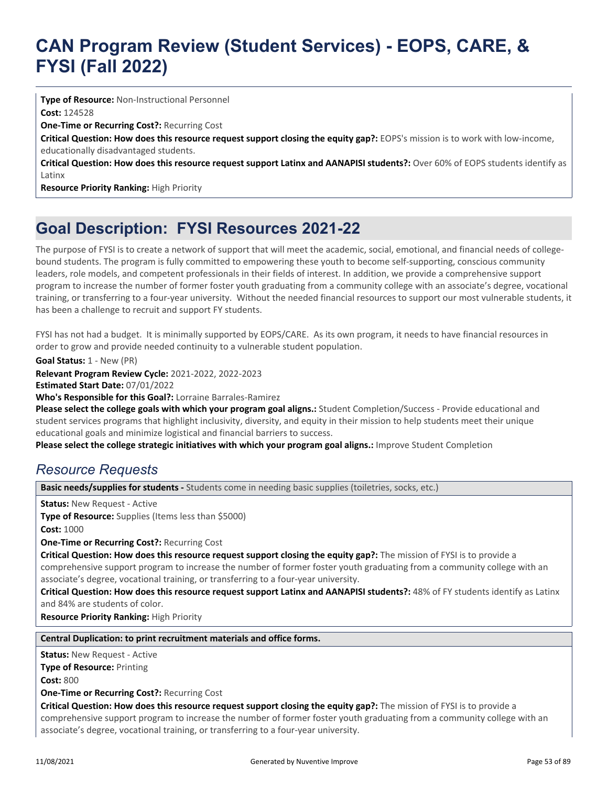**Type of Resource:** Non-Instructional Personnel **Cost:** 124528

**One-Time or Recurring Cost?:** Recurring Cost

**Critical Question: How does this resource request support closing the equity gap?:** EOPS's mission is to work with low-income, educationally disadvantaged students.

**Critical Question: How does this resource request support Latinx and AANAPISI students?:** Over 60% of EOPS students identify as Latinx

**Resource Priority Ranking:** High Priority

## **Goal Description: FYSI Resources 2021-22**

The purpose of FYSI is to create a network of support that will meet the academic, social, emotional, and financial needs of collegebound students. The program is fully committed to empowering these youth to become self-supporting, conscious community leaders, role models, and competent professionals in their fields of interest. In addition, we provide a comprehensive support program to increase the number of former foster youth graduating from a community college with an associate's degree, vocational training, or transferring to a four-year university. Without the needed financial resources to support our most vulnerable students, it has been a challenge to recruit and support FY students.

FYSI has not had a budget. It is minimally supported by EOPS/CARE. As its own program, it needs to have financial resources in order to grow and provide needed continuity to a vulnerable student population.

**Goal Status:** 1 - New (PR)

**Relevant Program Review Cycle:** 2021-2022, 2022-2023

**Estimated Start Date:** 07/01/2022

**Who's Responsible for this Goal?:** Lorraine Barrales-Ramirez

**Please select the college goals with which your program goal aligns.:** Student Completion/Success - Provide educational and student services programs that highlight inclusivity, diversity, and equity in their mission to help students meet their unique educational goals and minimize logistical and financial barriers to success.

**Please select the college strategic initiatives with which your program goal aligns.:** Improve Student Completion

### *Resource Requests*

**Basic needs/supplies for students -** Students come in needing basic supplies (toiletries, socks, etc.)

**Status:** New Request - Active

**Type of Resource:** Supplies (Items less than \$5000)

**Cost:** 1000

**One-Time or Recurring Cost?:** Recurring Cost

**Critical Question: How does this resource request support closing the equity gap?:** The mission of FYSI is to provide a comprehensive support program to increase the number of former foster youth graduating from a community college with an associate's degree, vocational training, or transferring to a four-year university.

**Critical Question: How does this resource request support Latinx and AANAPISI students?:** 48% of FY students identify as Latinx and 84% are students of color.

**Resource Priority Ranking:** High Priority

#### **Central Duplication: to print recruitment materials and office forms.**

**Status:** New Request - Active **Type of Resource:** Printing **Cost:** 800 **One-Time or Recurring Cost?:** Recurring Cost **Critical Question: How does this resource request support closing the equity gap?:** The mission of FYSI is to provide a comprehensive support program to increase the number of former foster youth graduating from a community college with an associate's degree, vocational training, or transferring to a four-year university.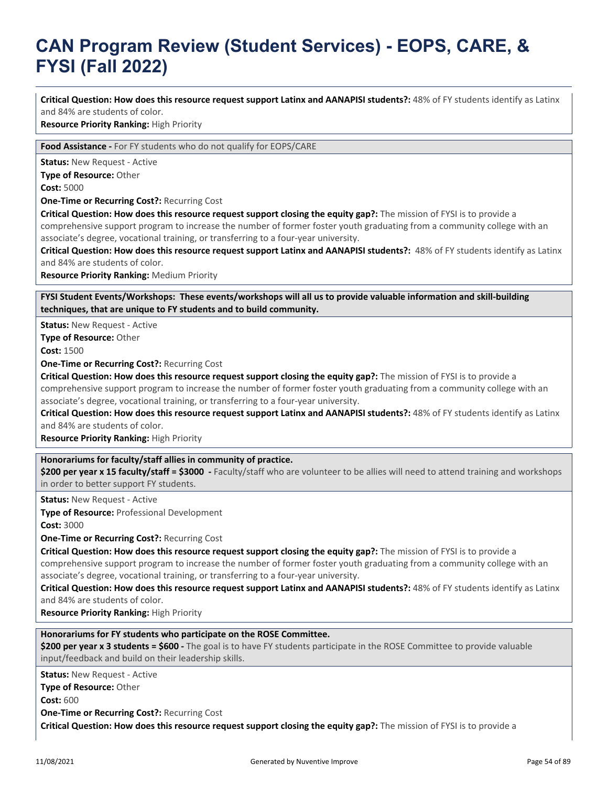**Critical Question: How does this resource request support Latinx and AANAPISI students?:** 48% of FY students identify as Latinx and 84% are students of color.

**Resource Priority Ranking:** High Priority

**Food Assistance -** For FY students who do not qualify for EOPS/CARE

**Status: New Request - Active** 

**Type of Resource:** Other

**Cost:** 5000

**One-Time or Recurring Cost?:** Recurring Cost

**Critical Question: How does this resource request support closing the equity gap?:** The mission of FYSI is to provide a comprehensive support program to increase the number of former foster youth graduating from a community college with an associate's degree, vocational training, or transferring to a four-year university.

**Critical Question: How does this resource request support Latinx and AANAPISI students?:** 48% of FY students identify as Latinx and 84% are students of color.

**Resource Priority Ranking:** Medium Priority

**FYSI Student Events/Workshops: These events/workshops will all us to provide valuable information and skill-building techniques, that are unique to FY students and to build community.**

**Status:** New Request - Active

**Type of Resource:** Other

**Cost:** 1500

**One-Time or Recurring Cost?:** Recurring Cost

**Critical Question: How does this resource request support closing the equity gap?:** The mission of FYSI is to provide a

comprehensive support program to increase the number of former foster youth graduating from a community college with an associate's degree, vocational training, or transferring to a four-year university.

**Critical Question: How does this resource request support Latinx and AANAPISI students?:** 48% of FY students identify as Latinx and 84% are students of color.

**Resource Priority Ranking:** High Priority

#### **Honorariums for faculty/staff allies in community of practice.**

**\$200 per year x 15 faculty/staff = \$3000 -** Faculty/staff who are volunteer to be allies will need to attend training and workshops in order to better support FY students.

**Status:** New Request - Active

**Type of Resource:** Professional Development

**Cost:** 3000

**One-Time or Recurring Cost?:** Recurring Cost

**Critical Question: How does this resource request support closing the equity gap?:** The mission of FYSI is to provide a comprehensive support program to increase the number of former foster youth graduating from a community college with an associate's degree, vocational training, or transferring to a four-year university.

**Critical Question: How does this resource request support Latinx and AANAPISI students?:** 48% of FY students identify as Latinx

and 84% are students of color.

**Resource Priority Ranking:** High Priority

#### **Honorariums for FY students who participate on the ROSE Committee.**

**\$200 per year x 3 students = \$600 -** The goal is to have FY students participate in the ROSE Committee to provide valuable input/feedback and build on their leadership skills.

**Status:** New Request - Active

**Type of Resource:** Other

**Cost:** 600

**One-Time or Recurring Cost?:** Recurring Cost

**Critical Question: How does this resource request support closing the equity gap?:** The mission of FYSI is to provide a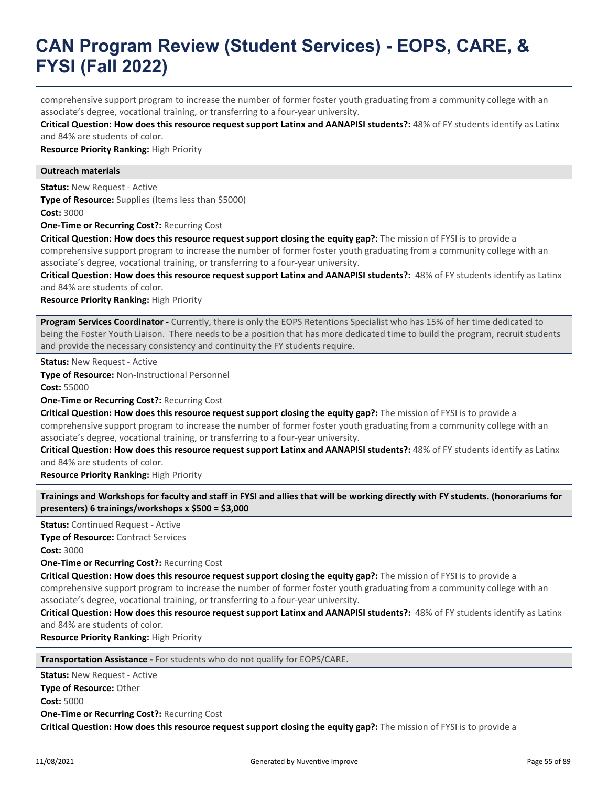comprehensive support program to increase the number of former foster youth graduating from a community college with an associate's degree, vocational training, or transferring to a four-year university.

**Critical Question: How does this resource request support Latinx and AANAPISI students?:** 48% of FY students identify as Latinx and 84% are students of color.

**Resource Priority Ranking:** High Priority

#### **Outreach materials**

**Status:** New Request - Active

**Type of Resource:** Supplies (Items less than \$5000) **Cost:** 3000

**One-Time or Recurring Cost?:** Recurring Cost

**Critical Question: How does this resource request support closing the equity gap?:** The mission of FYSI is to provide a comprehensive support program to increase the number of former foster youth graduating from a community college with an associate's degree, vocational training, or transferring to a four-year university.

**Critical Question: How does this resource request support Latinx and AANAPISI students?:** 48% of FY students identify as Latinx and 84% are students of color.

**Resource Priority Ranking:** High Priority

**Program Services Coordinator -** Currently, there is only the EOPS Retentions Specialist who has 15% of her time dedicated to being the Foster Youth Liaison. There needs to be a position that has more dedicated time to build the program, recruit students and provide the necessary consistency and continuity the FY students require.

**Status:** New Request - Active

**Type of Resource:** Non-Instructional Personnel

**Cost:** 55000

**One-Time or Recurring Cost?:** Recurring Cost

**Critical Question: How does this resource request support closing the equity gap?:** The mission of FYSI is to provide a comprehensive support program to increase the number of former foster youth graduating from a community college with an associate's degree, vocational training, or transferring to a four-year university.

**Critical Question: How does this resource request support Latinx and AANAPISI students?:** 48% of FY students identify as Latinx and 84% are students of color.

**Resource Priority Ranking:** High Priority

**Trainings and Workshops for faculty and staff in FYSI and allies that will be working directly with FY students. (honorariums for presenters) 6 trainings/workshops x \$500 = \$3,000**

**Status:** Continued Request - Active

**Type of Resource:** Contract Services

**Cost:** 3000

**One-Time or Recurring Cost?:** Recurring Cost

**Critical Question: How does this resource request support closing the equity gap?:** The mission of FYSI is to provide a comprehensive support program to increase the number of former foster youth graduating from a community college with an associate's degree, vocational training, or transferring to a four-year university.

**Critical Question: How does this resource request support Latinx and AANAPISI students?:** 48% of FY students identify as Latinx and 84% are students of color.

**Resource Priority Ranking:** High Priority

**Transportation Assistance -** For students who do not qualify for EOPS/CARE.

**Status:** New Request - Active **Type of Resource:** Other **Cost:** 5000

**One-Time or Recurring Cost?:** Recurring Cost

**Critical Question: How does this resource request support closing the equity gap?:** The mission of FYSI is to provide a